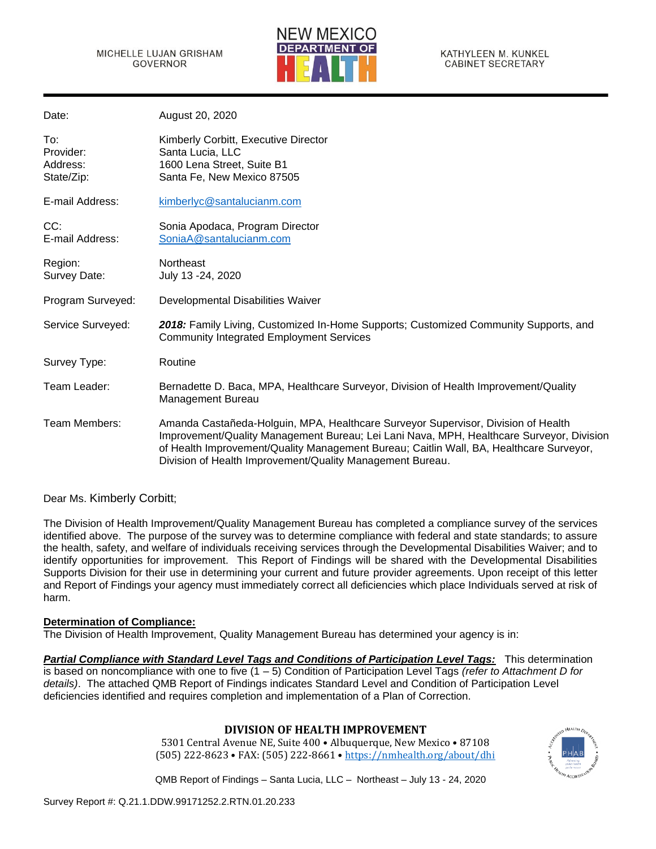

| Date:                                      | August 20, 2020                                                                                                                                                                                                                                                                                                                       |
|--------------------------------------------|---------------------------------------------------------------------------------------------------------------------------------------------------------------------------------------------------------------------------------------------------------------------------------------------------------------------------------------|
| To:<br>Provider:<br>Address:<br>State/Zip: | Kimberly Corbitt, Executive Director<br>Santa Lucia, LLC<br>1600 Lena Street, Suite B1<br>Santa Fe, New Mexico 87505                                                                                                                                                                                                                  |
| E-mail Address:                            | kimberlyc@santalucianm.com                                                                                                                                                                                                                                                                                                            |
| CC:<br>E-mail Address:                     | Sonia Apodaca, Program Director<br>SoniaA@santalucianm.com                                                                                                                                                                                                                                                                            |
| Region:<br>Survey Date:                    | Northeast<br>July 13 - 24, 2020                                                                                                                                                                                                                                                                                                       |
| Program Surveyed:                          | Developmental Disabilities Waiver                                                                                                                                                                                                                                                                                                     |
| Service Surveyed:                          | 2018: Family Living, Customized In-Home Supports; Customized Community Supports, and<br><b>Community Integrated Employment Services</b>                                                                                                                                                                                               |
| Survey Type:                               | Routine                                                                                                                                                                                                                                                                                                                               |
| Team Leader:                               | Bernadette D. Baca, MPA, Healthcare Surveyor, Division of Health Improvement/Quality<br>Management Bureau                                                                                                                                                                                                                             |
| Team Members:                              | Amanda Castañeda-Holguin, MPA, Healthcare Surveyor Supervisor, Division of Health<br>Improvement/Quality Management Bureau; Lei Lani Nava, MPH, Healthcare Surveyor, Division<br>of Health Improvement/Quality Management Bureau; Caitlin Wall, BA, Healthcare Surveyor,<br>Division of Health Improvement/Quality Management Bureau. |

Dear Ms. Kimberly Corbitt;

The Division of Health Improvement/Quality Management Bureau has completed a compliance survey of the services identified above. The purpose of the survey was to determine compliance with federal and state standards; to assure the health, safety, and welfare of individuals receiving services through the Developmental Disabilities Waiver; and to identify opportunities for improvement. This Report of Findings will be shared with the Developmental Disabilities Supports Division for their use in determining your current and future provider agreements. Upon receipt of this letter and Report of Findings your agency must immediately correct all deficiencies which place Individuals served at risk of harm.

# **Determination of Compliance:**

The Division of Health Improvement, Quality Management Bureau has determined your agency is in:

*Partial Compliance with Standard Level Tags and Conditions of Participation Level Tags:* This determination is based on noncompliance with one to five (1 – 5) Condition of Participation Level Tags *(refer to Attachment D for details)*. The attached QMB Report of Findings indicates Standard Level and Condition of Participation Level deficiencies identified and requires completion and implementation of a Plan of Correction.

# **DIVISION OF HEALTH IMPROVEMENT**

5301 Central Avenue NE, Suite 400 • Albuquerque, New Mexico • 87108 (505) 222-8623 • FAX: (505) 222-8661 • <https://nmhealth.org/about/dhi>

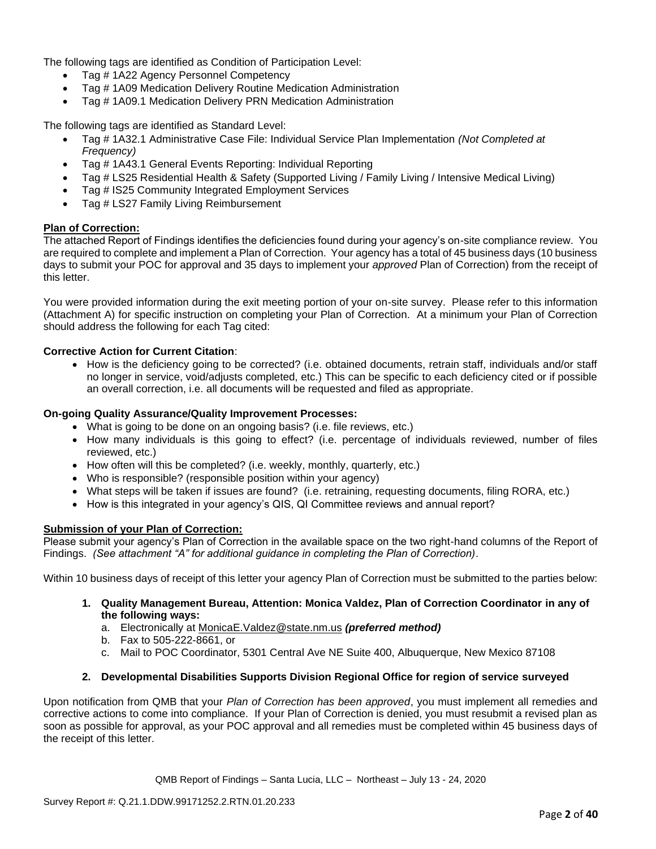The following tags are identified as Condition of Participation Level:

- Tag # 1A22 Agency Personnel Competency
- Tag # 1A09 Medication Delivery Routine Medication Administration
- Tag # 1A09.1 Medication Delivery PRN Medication Administration

The following tags are identified as Standard Level:

- Tag # 1A32.1 Administrative Case File: Individual Service Plan Implementation *(Not Completed at Frequency)*
- Tag # 1A43.1 General Events Reporting: Individual Reporting
- Tag # LS25 Residential Health & Safety (Supported Living / Family Living / Intensive Medical Living)
- Tag # IS25 Community Integrated Employment Services
- Tag # LS27 Family Living Reimbursement

### **Plan of Correction:**

The attached Report of Findings identifies the deficiencies found during your agency's on-site compliance review. You are required to complete and implement a Plan of Correction. Your agency has a total of 45 business days (10 business days to submit your POC for approval and 35 days to implement your *approved* Plan of Correction) from the receipt of this letter.

You were provided information during the exit meeting portion of your on-site survey. Please refer to this information (Attachment A) for specific instruction on completing your Plan of Correction. At a minimum your Plan of Correction should address the following for each Tag cited:

### **Corrective Action for Current Citation**:

• How is the deficiency going to be corrected? (i.e. obtained documents, retrain staff, individuals and/or staff no longer in service, void/adjusts completed, etc.) This can be specific to each deficiency cited or if possible an overall correction, i.e. all documents will be requested and filed as appropriate.

### **On-going Quality Assurance/Quality Improvement Processes:**

- What is going to be done on an ongoing basis? (i.e. file reviews, etc.)
- How many individuals is this going to effect? (i.e. percentage of individuals reviewed, number of files reviewed, etc.)
- How often will this be completed? (i.e. weekly, monthly, quarterly, etc.)
- Who is responsible? (responsible position within your agency)
- What steps will be taken if issues are found? (i.e. retraining, requesting documents, filing RORA, etc.)
- How is this integrated in your agency's QIS, QI Committee reviews and annual report?

### **Submission of your Plan of Correction:**

Please submit your agency's Plan of Correction in the available space on the two right-hand columns of the Report of Findings. *(See attachment "A" for additional guidance in completing the Plan of Correction)*.

Within 10 business days of receipt of this letter your agency Plan of Correction must be submitted to the parties below:

- **1. Quality Management Bureau, Attention: Monica Valdez, Plan of Correction Coordinator in any of the following ways:**
	- a. Electronically at [MonicaE.Valdez@state.nm.us](mailto:MonicaE.Valdez@state.nm.us) *(preferred method)*
	- b. Fax to 505-222-8661, or
	- c. Mail to POC Coordinator, 5301 Central Ave NE Suite 400, Albuquerque, New Mexico 87108

## **2. Developmental Disabilities Supports Division Regional Office for region of service surveyed**

Upon notification from QMB that your *Plan of Correction has been approved*, you must implement all remedies and corrective actions to come into compliance. If your Plan of Correction is denied, you must resubmit a revised plan as soon as possible for approval, as your POC approval and all remedies must be completed within 45 business days of the receipt of this letter.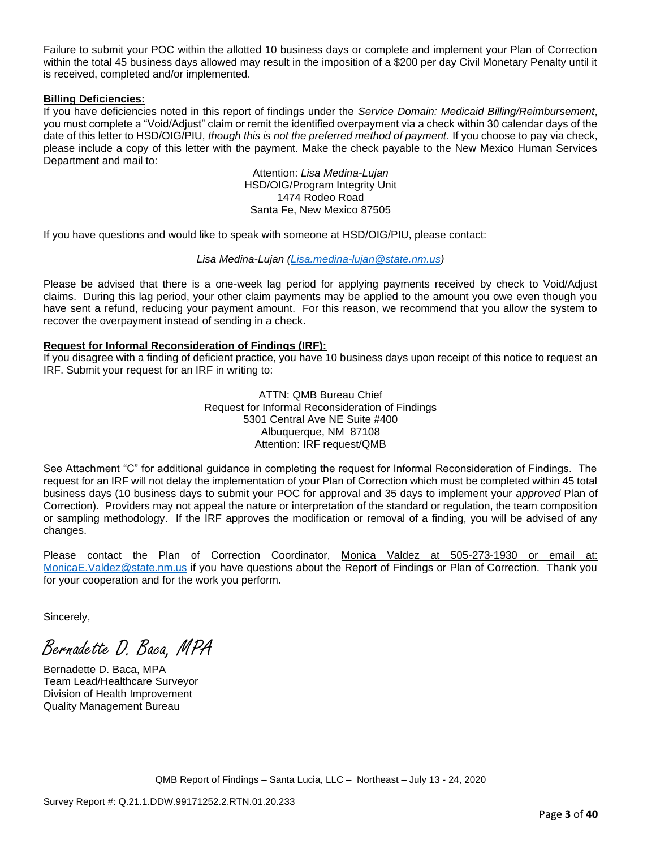Failure to submit your POC within the allotted 10 business days or complete and implement your Plan of Correction within the total 45 business days allowed may result in the imposition of a \$200 per day Civil Monetary Penalty until it is received, completed and/or implemented.

### **Billing Deficiencies:**

If you have deficiencies noted in this report of findings under the *Service Domain: Medicaid Billing/Reimbursement*, you must complete a "Void/Adjust" claim or remit the identified overpayment via a check within 30 calendar days of the date of this letter to HSD/OIG/PIU, *though this is not the preferred method of payment*. If you choose to pay via check, please include a copy of this letter with the payment. Make the check payable to the New Mexico Human Services Department and mail to:

> Attention: *Lisa Medina-Lujan* HSD/OIG/Program Integrity Unit 1474 Rodeo Road Santa Fe, New Mexico 87505

If you have questions and would like to speak with someone at HSD/OIG/PIU, please contact:

### *Lisa Medina-Lujan [\(Lisa.medina-lujan@state.nm.us\)](mailto:Lisa.medina-lujan@state.nm.us)*

Please be advised that there is a one-week lag period for applying payments received by check to Void/Adjust claims. During this lag period, your other claim payments may be applied to the amount you owe even though you have sent a refund, reducing your payment amount. For this reason, we recommend that you allow the system to recover the overpayment instead of sending in a check.

### **Request for Informal Reconsideration of Findings (IRF):**

If you disagree with a finding of deficient practice, you have 10 business days upon receipt of this notice to request an IRF. Submit your request for an IRF in writing to:

> ATTN: QMB Bureau Chief Request for Informal Reconsideration of Findings 5301 Central Ave NE Suite #400 Albuquerque, NM 87108 Attention: IRF request/QMB

See Attachment "C" for additional guidance in completing the request for Informal Reconsideration of Findings. The request for an IRF will not delay the implementation of your Plan of Correction which must be completed within 45 total business days (10 business days to submit your POC for approval and 35 days to implement your *approved* Plan of Correction). Providers may not appeal the nature or interpretation of the standard or regulation, the team composition or sampling methodology. If the IRF approves the modification or removal of a finding, you will be advised of any changes.

Please contact the Plan of Correction Coordinator, Monica Valdez at 505-273-1930 or email at: [MonicaE.Valdez@state.nm.us](mailto:MonicaE.Valdez@state.nm.us) if you have questions about the Report of Findings or Plan of Correction. Thank you for your cooperation and for the work you perform.

Sincerely,

Bernadette D. Baca, MPA

Bernadette D. Baca, MPA Team Lead/Healthcare Surveyor Division of Health Improvement Quality Management Bureau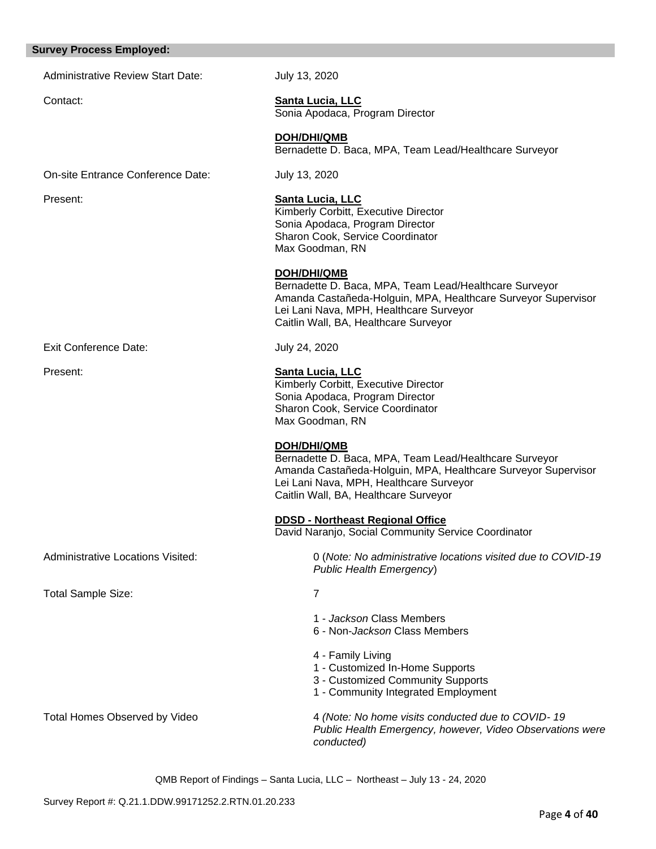#### **Survey Process Employed:**

Administrative Review Start Date: July 13, 2020

### Contact: **Santa Lucia, LLC**

Sonia Apodaca, Program Director

**DOH/DHI/QMB** Bernadette D. Baca, MPA, Team Lead/Healthcare Surveyor

On-site Entrance Conference Date: July 13, 2020

Exit Conference Date: July 24, 2020

| Present: | <b>Santa Lucia, LLC</b>                 |
|----------|-----------------------------------------|
|          | Kimberly Corbitt, Executive Director    |
|          | Sonia Apodaca, Program Director         |
|          | <b>Sharon Cook, Service Coordinator</b> |
|          | Max Goodman, RN                         |

**DOH/DHI/QMB**

Bernadette D. Baca, MPA, Team Lead/Healthcare Surveyor Amanda Castañeda-Holguin, MPA, Healthcare Surveyor Supervisor Lei Lani Nava, MPH, Healthcare Surveyor Caitlin Wall, BA, Healthcare Surveyor

Present: **Santa Lucia, LLC**  Kimberly Corbitt, Executive Director Sonia Apodaca, Program Director Sharon Cook, Service Coordinator Max Goodman, RN

**DOH/DHI/QMB**

Bernadette D. Baca, MPA, Team Lead/Healthcare Surveyor Amanda Castañeda-Holguin, MPA, Healthcare Surveyor Supervisor Lei Lani Nava, MPH, Healthcare Surveyor Caitlin Wall, BA, Healthcare Surveyor

**DDSD - Northeast Regional Office** 

David Naranjo, Social Community Service Coordinator

Administrative Locations Visited: 0 (*Note: No administrative locations visited due to COVID-19 Public Health Emergency*)

Total Sample Size: 7

- 1 *Jackson* Class Members
- 6 Non-*Jackson* Class Members
- 4 Family Living
- 1 Customized In-Home Supports
- 3 Customized Community Supports
- 1 Community Integrated Employment

Total Homes Observed by Video 4 *(Note: No home visits conducted due to COVID- 19 Public Health Emergency, however, Video Observations were conducted)*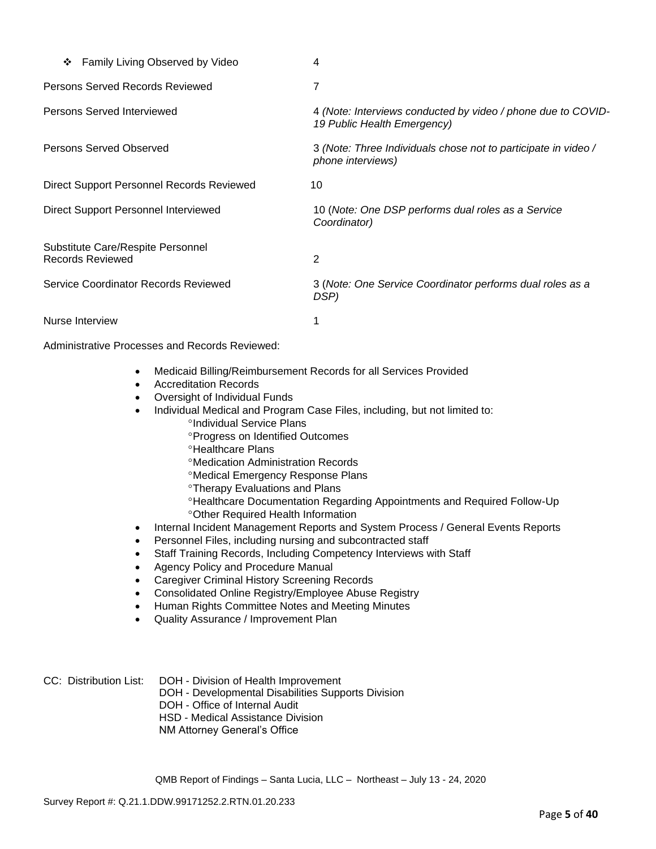| Family Living Observed by Video<br>❖                         | 4                                                                                           |
|--------------------------------------------------------------|---------------------------------------------------------------------------------------------|
| Persons Served Records Reviewed                              | 7                                                                                           |
| Persons Served Interviewed                                   | 4 (Note: Interviews conducted by video / phone due to COVID-<br>19 Public Health Emergency) |
| Persons Served Observed                                      | 3 (Note: Three Individuals chose not to participate in video /<br>phone interviews)         |
| Direct Support Personnel Records Reviewed                    | 10                                                                                          |
| Direct Support Personnel Interviewed                         | 10 (Note: One DSP performs dual roles as a Service<br>Coordinator)                          |
| Substitute Care/Respite Personnel<br><b>Records Reviewed</b> | 2                                                                                           |
| Service Coordinator Records Reviewed                         | 3 (Note: One Service Coordinator performs dual roles as a<br>DSP)                           |
| Nurse Interview                                              |                                                                                             |

Administrative Processes and Records Reviewed:

- Medicaid Billing/Reimbursement Records for all Services Provided
- Accreditation Records
- Oversight of Individual Funds
- Individual Medical and Program Case Files, including, but not limited to:
	- <sup>o</sup>Individual Service Plans
	- Progress on Identified Outcomes
	- <sup>o</sup>Healthcare Plans
	- Medication Administration Records
	- Medical Emergency Response Plans
	- **<sup>o</sup>Therapy Evaluations and Plans**
	- Healthcare Documentation Regarding Appointments and Required Follow-Up Other Required Health Information
- Internal Incident Management Reports and System Process / General Events Reports
- Personnel Files, including nursing and subcontracted staff
- Staff Training Records, Including Competency Interviews with Staff
- Agency Policy and Procedure Manual
- Caregiver Criminal History Screening Records
- Consolidated Online Registry/Employee Abuse Registry
- Human Rights Committee Notes and Meeting Minutes
- Quality Assurance / Improvement Plan

| CC: Distribution List: | DOH - Division of Health Improvement               |
|------------------------|----------------------------------------------------|
|                        | DOH - Developmental Disabilities Supports Division |
|                        | DOH - Office of Internal Audit                     |
|                        | HSD - Medical Assistance Division                  |
|                        | NM Attorney General's Office                       |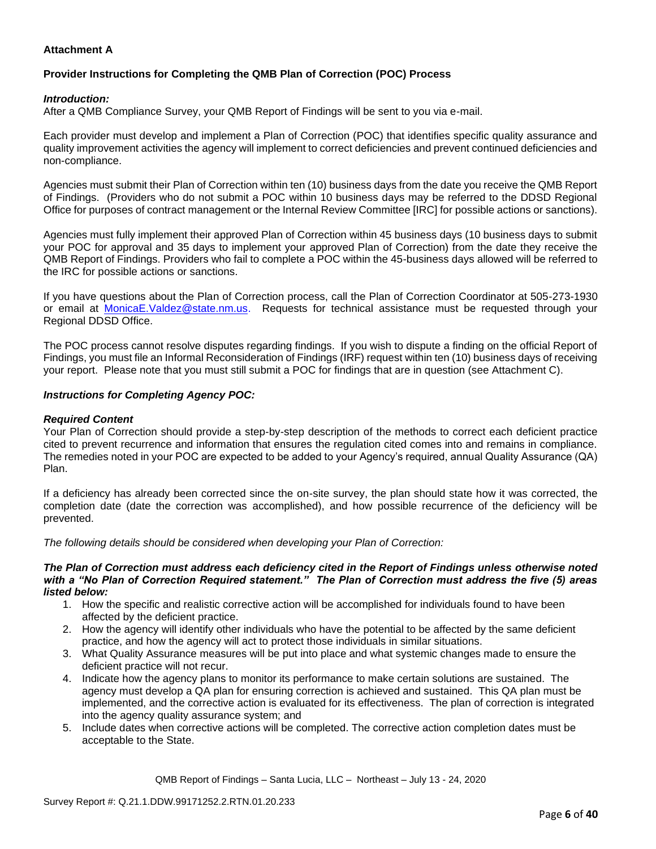# **Attachment A**

# **Provider Instructions for Completing the QMB Plan of Correction (POC) Process**

### *Introduction:*

After a QMB Compliance Survey, your QMB Report of Findings will be sent to you via e-mail.

Each provider must develop and implement a Plan of Correction (POC) that identifies specific quality assurance and quality improvement activities the agency will implement to correct deficiencies and prevent continued deficiencies and non-compliance.

Agencies must submit their Plan of Correction within ten (10) business days from the date you receive the QMB Report of Findings. (Providers who do not submit a POC within 10 business days may be referred to the DDSD Regional Office for purposes of contract management or the Internal Review Committee [IRC] for possible actions or sanctions).

Agencies must fully implement their approved Plan of Correction within 45 business days (10 business days to submit your POC for approval and 35 days to implement your approved Plan of Correction) from the date they receive the QMB Report of Findings. Providers who fail to complete a POC within the 45-business days allowed will be referred to the IRC for possible actions or sanctions.

If you have questions about the Plan of Correction process, call the Plan of Correction Coordinator at 505-273-1930 or email at [MonicaE.Valdez@state.nm.us.](mailto:MonicaE.Valdez@state.nm.us) Requests for technical assistance must be requested through your Regional DDSD Office.

The POC process cannot resolve disputes regarding findings. If you wish to dispute a finding on the official Report of Findings, you must file an Informal Reconsideration of Findings (IRF) request within ten (10) business days of receiving your report. Please note that you must still submit a POC for findings that are in question (see Attachment C).

### *Instructions for Completing Agency POC:*

### *Required Content*

Your Plan of Correction should provide a step-by-step description of the methods to correct each deficient practice cited to prevent recurrence and information that ensures the regulation cited comes into and remains in compliance. The remedies noted in your POC are expected to be added to your Agency's required, annual Quality Assurance (QA) Plan.

If a deficiency has already been corrected since the on-site survey, the plan should state how it was corrected, the completion date (date the correction was accomplished), and how possible recurrence of the deficiency will be prevented.

*The following details should be considered when developing your Plan of Correction:*

#### *The Plan of Correction must address each deficiency cited in the Report of Findings unless otherwise noted with a "No Plan of Correction Required statement." The Plan of Correction must address the five (5) areas listed below:*

- 1. How the specific and realistic corrective action will be accomplished for individuals found to have been affected by the deficient practice.
- 2. How the agency will identify other individuals who have the potential to be affected by the same deficient practice, and how the agency will act to protect those individuals in similar situations.
- 3. What Quality Assurance measures will be put into place and what systemic changes made to ensure the deficient practice will not recur.
- 4. Indicate how the agency plans to monitor its performance to make certain solutions are sustained. The agency must develop a QA plan for ensuring correction is achieved and sustained. This QA plan must be implemented, and the corrective action is evaluated for its effectiveness. The plan of correction is integrated into the agency quality assurance system; and
- 5. Include dates when corrective actions will be completed. The corrective action completion dates must be acceptable to the State.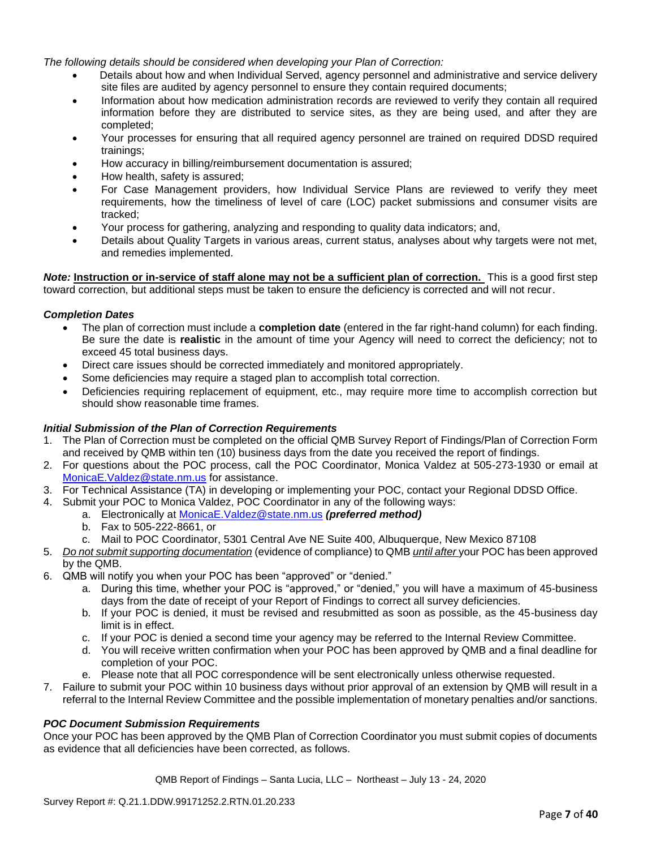*The following details should be considered when developing your Plan of Correction:*

- Details about how and when Individual Served, agency personnel and administrative and service delivery site files are audited by agency personnel to ensure they contain required documents;
- Information about how medication administration records are reviewed to verify they contain all required information before they are distributed to service sites, as they are being used, and after they are completed;
- Your processes for ensuring that all required agency personnel are trained on required DDSD required trainings;
- How accuracy in billing/reimbursement documentation is assured;
- How health, safety is assured;
- For Case Management providers, how Individual Service Plans are reviewed to verify they meet requirements, how the timeliness of level of care (LOC) packet submissions and consumer visits are tracked;
- Your process for gathering, analyzing and responding to quality data indicators; and,
- Details about Quality Targets in various areas, current status, analyses about why targets were not met, and remedies implemented.

*Note:* **Instruction or in-service of staff alone may not be a sufficient plan of correction.** This is a good first step toward correction, but additional steps must be taken to ensure the deficiency is corrected and will not recur.

### *Completion Dates*

- The plan of correction must include a **completion date** (entered in the far right-hand column) for each finding. Be sure the date is **realistic** in the amount of time your Agency will need to correct the deficiency; not to exceed 45 total business days.
- Direct care issues should be corrected immediately and monitored appropriately.
- Some deficiencies may require a staged plan to accomplish total correction.
- Deficiencies requiring replacement of equipment, etc., may require more time to accomplish correction but should show reasonable time frames.

### *Initial Submission of the Plan of Correction Requirements*

- 1. The Plan of Correction must be completed on the official QMB Survey Report of Findings/Plan of Correction Form and received by QMB within ten (10) business days from the date you received the report of findings.
- 2. For questions about the POC process, call the POC Coordinator, Monica Valdez at 505-273-1930 or email at [MonicaE.Valdez@state.nm.us](mailto:MonicaE.Valdez@state.nm.us) for assistance.
- 3. For Technical Assistance (TA) in developing or implementing your POC, contact your Regional DDSD Office.
- 4. Submit your POC to Monica Valdez, POC Coordinator in any of the following ways:
	- a. Electronically at [MonicaE.Valdez@state.nm.us](mailto:MonicaE.Valdez@state.nm.us) *(preferred method)*
	- b. Fax to 505-222-8661, or
	- c. Mail to POC Coordinator, 5301 Central Ave NE Suite 400, Albuquerque, New Mexico 87108
- 5. *Do not submit supporting documentation* (evidence of compliance) to QMB *until after* your POC has been approved by the QMB.
- 6. QMB will notify you when your POC has been "approved" or "denied."
	- a. During this time, whether your POC is "approved," or "denied," you will have a maximum of 45-business days from the date of receipt of your Report of Findings to correct all survey deficiencies.
	- b. If your POC is denied, it must be revised and resubmitted as soon as possible, as the 45-business day limit is in effect.
	- c. If your POC is denied a second time your agency may be referred to the Internal Review Committee.
	- d. You will receive written confirmation when your POC has been approved by QMB and a final deadline for completion of your POC.
	- e. Please note that all POC correspondence will be sent electronically unless otherwise requested.
- 7. Failure to submit your POC within 10 business days without prior approval of an extension by QMB will result in a referral to the Internal Review Committee and the possible implementation of monetary penalties and/or sanctions.

### *POC Document Submission Requirements*

Once your POC has been approved by the QMB Plan of Correction Coordinator you must submit copies of documents as evidence that all deficiencies have been corrected, as follows.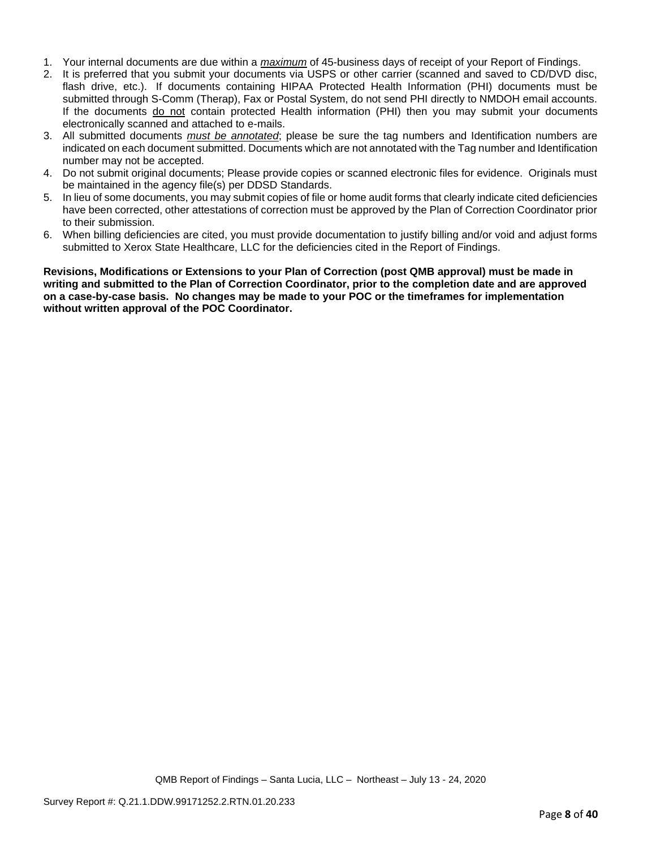- 1. Your internal documents are due within a *maximum* of 45-business days of receipt of your Report of Findings.
- 2. It is preferred that you submit your documents via USPS or other carrier (scanned and saved to CD/DVD disc, flash drive, etc.). If documents containing HIPAA Protected Health Information (PHI) documents must be submitted through S-Comm (Therap), Fax or Postal System, do not send PHI directly to NMDOH email accounts. If the documents do not contain protected Health information (PHI) then you may submit your documents electronically scanned and attached to e-mails.
- 3. All submitted documents *must be annotated*; please be sure the tag numbers and Identification numbers are indicated on each document submitted. Documents which are not annotated with the Tag number and Identification number may not be accepted.
- 4. Do not submit original documents; Please provide copies or scanned electronic files for evidence. Originals must be maintained in the agency file(s) per DDSD Standards.
- 5. In lieu of some documents, you may submit copies of file or home audit forms that clearly indicate cited deficiencies have been corrected, other attestations of correction must be approved by the Plan of Correction Coordinator prior to their submission.
- 6. When billing deficiencies are cited, you must provide documentation to justify billing and/or void and adjust forms submitted to Xerox State Healthcare, LLC for the deficiencies cited in the Report of Findings.

**Revisions, Modifications or Extensions to your Plan of Correction (post QMB approval) must be made in writing and submitted to the Plan of Correction Coordinator, prior to the completion date and are approved on a case-by-case basis. No changes may be made to your POC or the timeframes for implementation without written approval of the POC Coordinator.**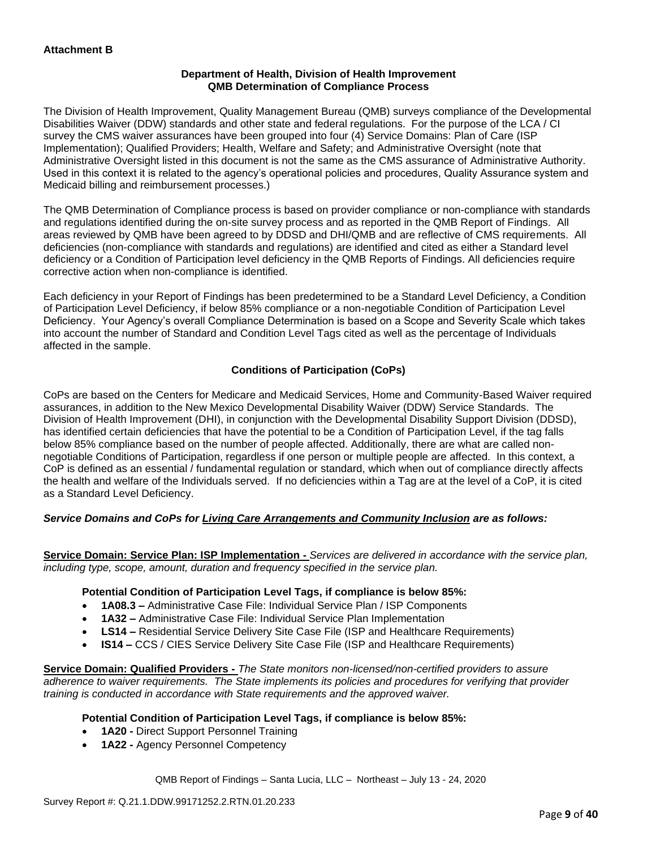### **Department of Health, Division of Health Improvement QMB Determination of Compliance Process**

The Division of Health Improvement, Quality Management Bureau (QMB) surveys compliance of the Developmental Disabilities Waiver (DDW) standards and other state and federal regulations. For the purpose of the LCA / CI survey the CMS waiver assurances have been grouped into four (4) Service Domains: Plan of Care (ISP Implementation); Qualified Providers; Health, Welfare and Safety; and Administrative Oversight (note that Administrative Oversight listed in this document is not the same as the CMS assurance of Administrative Authority. Used in this context it is related to the agency's operational policies and procedures, Quality Assurance system and Medicaid billing and reimbursement processes.)

The QMB Determination of Compliance process is based on provider compliance or non-compliance with standards and regulations identified during the on-site survey process and as reported in the QMB Report of Findings. All areas reviewed by QMB have been agreed to by DDSD and DHI/QMB and are reflective of CMS requirements. All deficiencies (non-compliance with standards and regulations) are identified and cited as either a Standard level deficiency or a Condition of Participation level deficiency in the QMB Reports of Findings. All deficiencies require corrective action when non-compliance is identified.

Each deficiency in your Report of Findings has been predetermined to be a Standard Level Deficiency, a Condition of Participation Level Deficiency, if below 85% compliance or a non-negotiable Condition of Participation Level Deficiency. Your Agency's overall Compliance Determination is based on a Scope and Severity Scale which takes into account the number of Standard and Condition Level Tags cited as well as the percentage of Individuals affected in the sample.

# **Conditions of Participation (CoPs)**

CoPs are based on the Centers for Medicare and Medicaid Services, Home and Community-Based Waiver required assurances, in addition to the New Mexico Developmental Disability Waiver (DDW) Service Standards. The Division of Health Improvement (DHI), in conjunction with the Developmental Disability Support Division (DDSD), has identified certain deficiencies that have the potential to be a Condition of Participation Level, if the tag falls below 85% compliance based on the number of people affected. Additionally, there are what are called nonnegotiable Conditions of Participation, regardless if one person or multiple people are affected. In this context, a CoP is defined as an essential / fundamental regulation or standard, which when out of compliance directly affects the health and welfare of the Individuals served. If no deficiencies within a Tag are at the level of a CoP, it is cited as a Standard Level Deficiency.

# *Service Domains and CoPs for Living Care Arrangements and Community Inclusion are as follows:*

**Service Domain: Service Plan: ISP Implementation -** *Services are delivered in accordance with the service plan, including type, scope, amount, duration and frequency specified in the service plan.*

### **Potential Condition of Participation Level Tags, if compliance is below 85%:**

- **1A08.3 –** Administrative Case File: Individual Service Plan / ISP Components
- **1A32 –** Administrative Case File: Individual Service Plan Implementation
- **LS14 –** Residential Service Delivery Site Case File (ISP and Healthcare Requirements)
- **IS14 –** CCS / CIES Service Delivery Site Case File (ISP and Healthcare Requirements)

**Service Domain: Qualified Providers -** *The State monitors non-licensed/non-certified providers to assure adherence to waiver requirements. The State implements its policies and procedures for verifying that provider training is conducted in accordance with State requirements and the approved waiver.*

# **Potential Condition of Participation Level Tags, if compliance is below 85%:**

- **1A20 -** Direct Support Personnel Training
- **1A22 -** Agency Personnel Competency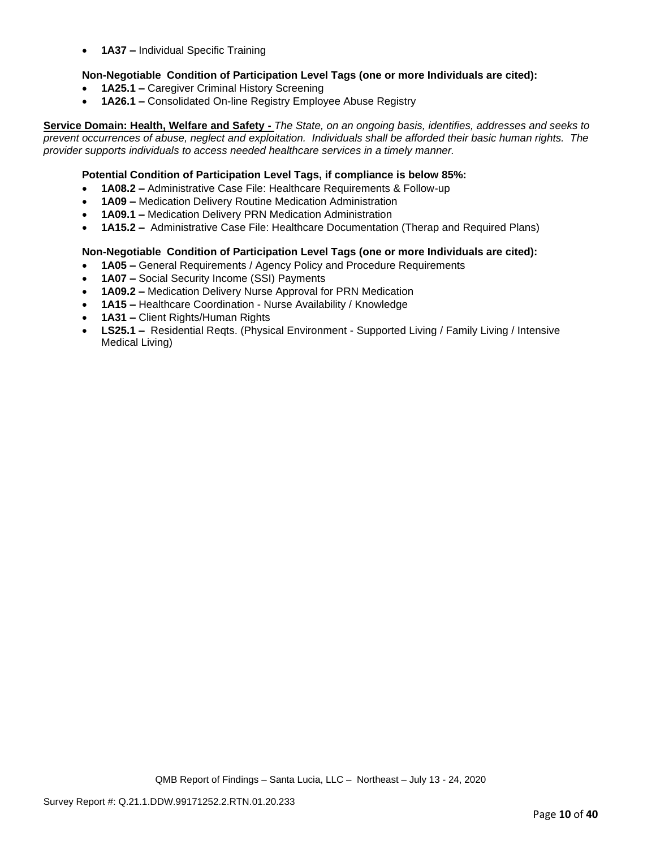• **1A37 –** Individual Specific Training

## **Non-Negotiable Condition of Participation Level Tags (one or more Individuals are cited):**

- **1A25.1 –** Caregiver Criminal History Screening
- **1A26.1 –** Consolidated On-line Registry Employee Abuse Registry

**Service Domain: Health, Welfare and Safety -** *The State, on an ongoing basis, identifies, addresses and seeks to prevent occurrences of abuse, neglect and exploitation. Individuals shall be afforded their basic human rights. The provider supports individuals to access needed healthcare services in a timely manner.*

### **Potential Condition of Participation Level Tags, if compliance is below 85%:**

- **1A08.2 –** Administrative Case File: Healthcare Requirements & Follow-up
- **1A09 –** Medication Delivery Routine Medication Administration
- **1A09.1 –** Medication Delivery PRN Medication Administration
- **1A15.2 –** Administrative Case File: Healthcare Documentation (Therap and Required Plans)

### **Non-Negotiable Condition of Participation Level Tags (one or more Individuals are cited):**

- **1A05 –** General Requirements / Agency Policy and Procedure Requirements
- **1A07 –** Social Security Income (SSI) Payments
- **1A09.2 –** Medication Delivery Nurse Approval for PRN Medication
- **1A15 –** Healthcare Coordination Nurse Availability / Knowledge
- **1A31 –** Client Rights/Human Rights
- **LS25.1 –** Residential Reqts. (Physical Environment Supported Living / Family Living / Intensive Medical Living)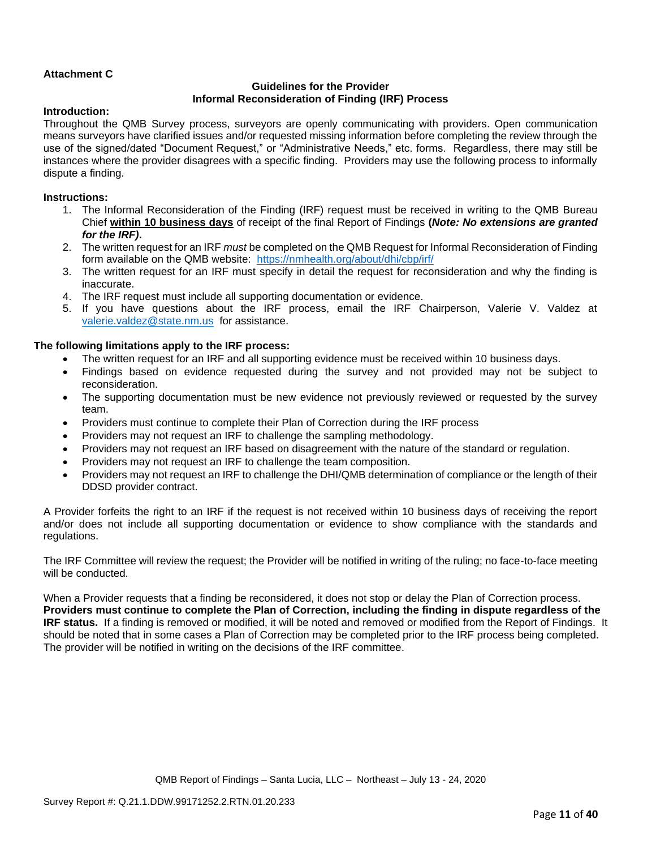# **Attachment C**

### **Guidelines for the Provider Informal Reconsideration of Finding (IRF) Process**

### **Introduction:**

Throughout the QMB Survey process, surveyors are openly communicating with providers. Open communication means surveyors have clarified issues and/or requested missing information before completing the review through the use of the signed/dated "Document Request," or "Administrative Needs," etc. forms. Regardless, there may still be instances where the provider disagrees with a specific finding. Providers may use the following process to informally dispute a finding.

### **Instructions:**

- 1. The Informal Reconsideration of the Finding (IRF) request must be received in writing to the QMB Bureau Chief **within 10 business days** of receipt of the final Report of Findings **(***Note: No extensions are granted for the IRF)***.**
- 2. The written request for an IRF *must* be completed on the QMB Request for Informal Reconsideration of Finding form available on the QMB website: <https://nmhealth.org/about/dhi/cbp/irf/>
- 3. The written request for an IRF must specify in detail the request for reconsideration and why the finding is inaccurate.
- 4. The IRF request must include all supporting documentation or evidence.
- 5. If you have questions about the IRF process, email the IRF Chairperson, Valerie V. Valdez at [valerie.valdez@state.nm.us](mailto:valerie.valdez@state.nm.us) for assistance.

### **The following limitations apply to the IRF process:**

- The written request for an IRF and all supporting evidence must be received within 10 business days.
- Findings based on evidence requested during the survey and not provided may not be subject to reconsideration.
- The supporting documentation must be new evidence not previously reviewed or requested by the survey team.
- Providers must continue to complete their Plan of Correction during the IRF process
- Providers may not request an IRF to challenge the sampling methodology.
- Providers may not request an IRF based on disagreement with the nature of the standard or regulation.
- Providers may not request an IRF to challenge the team composition.
- Providers may not request an IRF to challenge the DHI/QMB determination of compliance or the length of their DDSD provider contract.

A Provider forfeits the right to an IRF if the request is not received within 10 business days of receiving the report and/or does not include all supporting documentation or evidence to show compliance with the standards and regulations.

The IRF Committee will review the request; the Provider will be notified in writing of the ruling; no face-to-face meeting will be conducted.

When a Provider requests that a finding be reconsidered, it does not stop or delay the Plan of Correction process. **Providers must continue to complete the Plan of Correction, including the finding in dispute regardless of the IRF status.** If a finding is removed or modified, it will be noted and removed or modified from the Report of Findings. It should be noted that in some cases a Plan of Correction may be completed prior to the IRF process being completed. The provider will be notified in writing on the decisions of the IRF committee.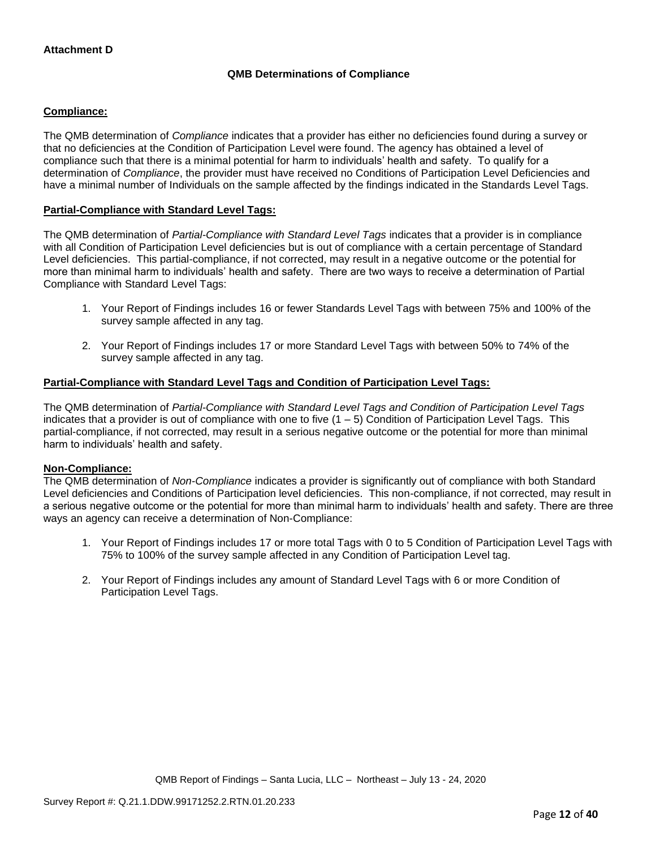# **QMB Determinations of Compliance**

### **Compliance:**

The QMB determination of *Compliance* indicates that a provider has either no deficiencies found during a survey or that no deficiencies at the Condition of Participation Level were found. The agency has obtained a level of compliance such that there is a minimal potential for harm to individuals' health and safety. To qualify for a determination of *Compliance*, the provider must have received no Conditions of Participation Level Deficiencies and have a minimal number of Individuals on the sample affected by the findings indicated in the Standards Level Tags.

### **Partial-Compliance with Standard Level Tags:**

The QMB determination of *Partial-Compliance with Standard Level Tags* indicates that a provider is in compliance with all Condition of Participation Level deficiencies but is out of compliance with a certain percentage of Standard Level deficiencies. This partial-compliance, if not corrected, may result in a negative outcome or the potential for more than minimal harm to individuals' health and safety. There are two ways to receive a determination of Partial Compliance with Standard Level Tags:

- 1. Your Report of Findings includes 16 or fewer Standards Level Tags with between 75% and 100% of the survey sample affected in any tag.
- 2. Your Report of Findings includes 17 or more Standard Level Tags with between 50% to 74% of the survey sample affected in any tag.

## **Partial-Compliance with Standard Level Tags and Condition of Participation Level Tags:**

The QMB determination of *Partial-Compliance with Standard Level Tags and Condition of Participation Level Tags*  indicates that a provider is out of compliance with one to five  $(1 - 5)$  Condition of Participation Level Tags. This partial-compliance, if not corrected, may result in a serious negative outcome or the potential for more than minimal harm to individuals' health and safety.

### **Non-Compliance:**

The QMB determination of *Non-Compliance* indicates a provider is significantly out of compliance with both Standard Level deficiencies and Conditions of Participation level deficiencies. This non-compliance, if not corrected, may result in a serious negative outcome or the potential for more than minimal harm to individuals' health and safety. There are three ways an agency can receive a determination of Non-Compliance:

- 1. Your Report of Findings includes 17 or more total Tags with 0 to 5 Condition of Participation Level Tags with 75% to 100% of the survey sample affected in any Condition of Participation Level tag.
- 2. Your Report of Findings includes any amount of Standard Level Tags with 6 or more Condition of Participation Level Tags.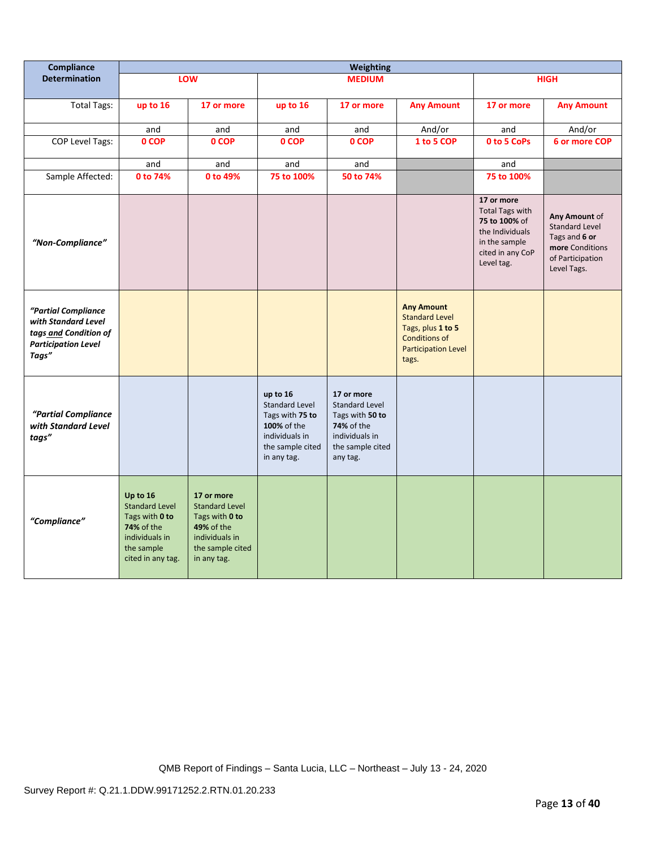| Compliance                                                                                                 | <b>Weighting</b>                                                                                                              |                                                                                                                                 |                                                                                                                          |                                                                                                                        |                                                                                                                                |                                                                                                                             |                                                                                                               |
|------------------------------------------------------------------------------------------------------------|-------------------------------------------------------------------------------------------------------------------------------|---------------------------------------------------------------------------------------------------------------------------------|--------------------------------------------------------------------------------------------------------------------------|------------------------------------------------------------------------------------------------------------------------|--------------------------------------------------------------------------------------------------------------------------------|-----------------------------------------------------------------------------------------------------------------------------|---------------------------------------------------------------------------------------------------------------|
| <b>Determination</b>                                                                                       |                                                                                                                               | LOW                                                                                                                             |                                                                                                                          | <b>MEDIUM</b>                                                                                                          |                                                                                                                                |                                                                                                                             | <b>HIGH</b>                                                                                                   |
| <b>Total Tags:</b>                                                                                         | up to 16                                                                                                                      | 17 or more                                                                                                                      | up to 16                                                                                                                 | 17 or more                                                                                                             | <b>Any Amount</b>                                                                                                              | 17 or more                                                                                                                  | <b>Any Amount</b>                                                                                             |
|                                                                                                            | and                                                                                                                           | and                                                                                                                             | and                                                                                                                      | and                                                                                                                    | And/or                                                                                                                         | and                                                                                                                         | And/or                                                                                                        |
| <b>COP Level Tags:</b>                                                                                     | 0 COP                                                                                                                         | 0 COP                                                                                                                           | 0 COP                                                                                                                    | 0 COP                                                                                                                  | 1 to 5 COP                                                                                                                     | 0 to 5 CoPs                                                                                                                 | 6 or more COP                                                                                                 |
|                                                                                                            | and                                                                                                                           | and                                                                                                                             | and                                                                                                                      | and                                                                                                                    |                                                                                                                                | and                                                                                                                         |                                                                                                               |
| Sample Affected:                                                                                           | 0 to 74%                                                                                                                      | 0 to 49%                                                                                                                        | 75 to 100%                                                                                                               | 50 to 74%                                                                                                              |                                                                                                                                | 75 to 100%                                                                                                                  |                                                                                                               |
| "Non-Compliance"                                                                                           |                                                                                                                               |                                                                                                                                 |                                                                                                                          |                                                                                                                        |                                                                                                                                | 17 or more<br><b>Total Tags with</b><br>75 to 100% of<br>the Individuals<br>in the sample<br>cited in any CoP<br>Level tag. | Any Amount of<br><b>Standard Level</b><br>Tags and 6 or<br>more Conditions<br>of Participation<br>Level Tags. |
| "Partial Compliance<br>with Standard Level<br>tags and Condition of<br><b>Participation Level</b><br>Tags" |                                                                                                                               |                                                                                                                                 |                                                                                                                          |                                                                                                                        | <b>Any Amount</b><br><b>Standard Level</b><br>Tags, plus 1 to 5<br><b>Conditions of</b><br><b>Participation Level</b><br>tags. |                                                                                                                             |                                                                                                               |
| "Partial Compliance<br>with Standard Level<br>tags"                                                        |                                                                                                                               |                                                                                                                                 | up to 16<br><b>Standard Level</b><br>Tags with 75 to<br>100% of the<br>individuals in<br>the sample cited<br>in any tag. | 17 or more<br><b>Standard Level</b><br>Tags with 50 to<br>74% of the<br>individuals in<br>the sample cited<br>any tag. |                                                                                                                                |                                                                                                                             |                                                                                                               |
| "Compliance"                                                                                               | Up to 16<br><b>Standard Level</b><br>Tags with 0 to<br><b>74% of the</b><br>individuals in<br>the sample<br>cited in any tag. | 17 or more<br><b>Standard Level</b><br>Tags with 0 to<br><b>49% of the</b><br>individuals in<br>the sample cited<br>in any tag. |                                                                                                                          |                                                                                                                        |                                                                                                                                |                                                                                                                             |                                                                                                               |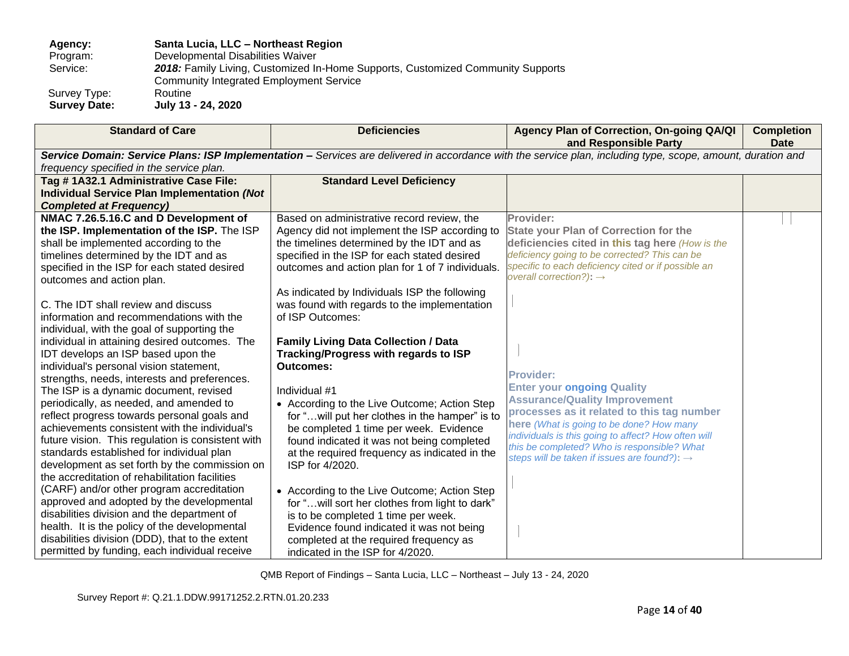**Agency: Santa Lucia, LLC – Northeast Region** 

Program: Developmental Disabilities Waiver<br>Service: 2018: Family Living, Customized In

2018: Family Living, Customized In-Home Supports, Customized Community Supports

Community Integrated Employment Service

Survey Type: Routine<br>
Survey Date: July 13

 **Survey Date: July 13 - 24, 2020**

| <b>Standard of Care</b>                            | <b>Deficiencies</b>                              | Agency Plan of Correction, On-going QA/QI                                                                                                                   | <b>Completion</b> |
|----------------------------------------------------|--------------------------------------------------|-------------------------------------------------------------------------------------------------------------------------------------------------------------|-------------------|
|                                                    |                                                  | and Responsible Party                                                                                                                                       | <b>Date</b>       |
|                                                    |                                                  | Service Domain: Service Plans: ISP Implementation - Services are delivered in accordance with the service plan, including type, scope, amount, duration and |                   |
| frequency specified in the service plan.           |                                                  |                                                                                                                                                             |                   |
| Tag #1A32.1 Administrative Case File:              | <b>Standard Level Deficiency</b>                 |                                                                                                                                                             |                   |
| <b>Individual Service Plan Implementation (Not</b> |                                                  |                                                                                                                                                             |                   |
| <b>Completed at Frequency)</b>                     |                                                  |                                                                                                                                                             |                   |
| NMAC 7.26.5.16.C and D Development of              | Based on administrative record review, the       | Provider:                                                                                                                                                   |                   |
| the ISP. Implementation of the ISP. The ISP        | Agency did not implement the ISP according to    | <b>State your Plan of Correction for the</b>                                                                                                                |                   |
| shall be implemented according to the              | the timelines determined by the IDT and as       | deficiencies cited in this tag here (How is the                                                                                                             |                   |
| timelines determined by the IDT and as             | specified in the ISP for each stated desired     | deficiency going to be corrected? This can be                                                                                                               |                   |
| specified in the ISP for each stated desired       | outcomes and action plan for 1 of 7 individuals. | specific to each deficiency cited or if possible an                                                                                                         |                   |
| outcomes and action plan.                          |                                                  | overall correction?): $\rightarrow$                                                                                                                         |                   |
|                                                    | As indicated by Individuals ISP the following    |                                                                                                                                                             |                   |
| C. The IDT shall review and discuss                | was found with regards to the implementation     |                                                                                                                                                             |                   |
| information and recommendations with the           | of ISP Outcomes:                                 |                                                                                                                                                             |                   |
| individual, with the goal of supporting the        |                                                  |                                                                                                                                                             |                   |
| individual in attaining desired outcomes. The      | <b>Family Living Data Collection / Data</b>      |                                                                                                                                                             |                   |
| IDT develops an ISP based upon the                 | Tracking/Progress with regards to ISP            |                                                                                                                                                             |                   |
| individual's personal vision statement,            | <b>Outcomes:</b>                                 | <b>Provider:</b>                                                                                                                                            |                   |
| strengths, needs, interests and preferences.       |                                                  | <b>Enter your ongoing Quality</b>                                                                                                                           |                   |
| The ISP is a dynamic document, revised             | Individual #1                                    | <b>Assurance/Quality Improvement</b>                                                                                                                        |                   |
| periodically, as needed, and amended to            | • According to the Live Outcome; Action Step     | processes as it related to this tag number                                                                                                                  |                   |
| reflect progress towards personal goals and        | for " will put her clothes in the hamper" is to  | here (What is going to be done? How many                                                                                                                    |                   |
| achievements consistent with the individual's      | be completed 1 time per week. Evidence           | individuals is this going to affect? How often will                                                                                                         |                   |
| future vision. This regulation is consistent with  | found indicated it was not being completed       | this be completed? Who is responsible? What                                                                                                                 |                   |
| standards established for individual plan          | at the required frequency as indicated in the    | steps will be taken if issues are found?): $\rightarrow$                                                                                                    |                   |
| development as set forth by the commission on      | ISP for 4/2020.                                  |                                                                                                                                                             |                   |
| the accreditation of rehabilitation facilities     |                                                  |                                                                                                                                                             |                   |
| (CARF) and/or other program accreditation          | • According to the Live Outcome; Action Step     |                                                                                                                                                             |                   |
| approved and adopted by the developmental          | for " will sort her clothes from light to dark"  |                                                                                                                                                             |                   |
| disabilities division and the department of        | is to be completed 1 time per week.              |                                                                                                                                                             |                   |
| health. It is the policy of the developmental      | Evidence found indicated it was not being        |                                                                                                                                                             |                   |
| disabilities division (DDD), that to the extent    | completed at the required frequency as           |                                                                                                                                                             |                   |
| permitted by funding, each individual receive      | indicated in the ISP for 4/2020.                 |                                                                                                                                                             |                   |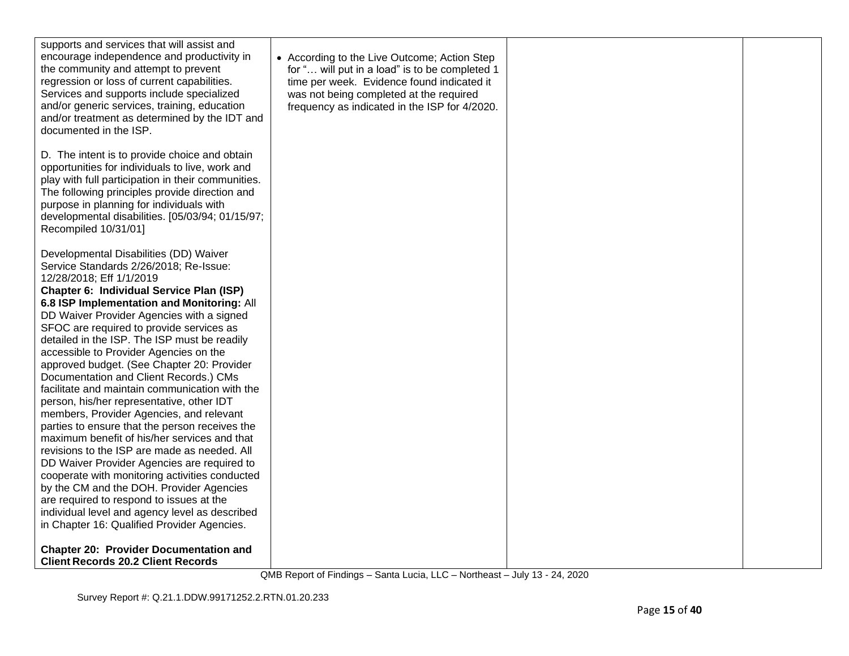| supports and services that will assist and<br>encourage independence and productivity in<br>the community and attempt to prevent<br>regression or loss of current capabilities.<br>Services and supports include specialized<br>and/or generic services, training, education<br>and/or treatment as determined by the IDT and<br>documented in the ISP.                                                                                                                                                                                                                                                                                                                                                                                                                                                                                                                                                                                                                                                                                                                  | • According to the Live Outcome; Action Step<br>for " will put in a load" is to be completed 1<br>time per week. Evidence found indicated it<br>was not being completed at the required<br>frequency as indicated in the ISP for 4/2020. |  |
|--------------------------------------------------------------------------------------------------------------------------------------------------------------------------------------------------------------------------------------------------------------------------------------------------------------------------------------------------------------------------------------------------------------------------------------------------------------------------------------------------------------------------------------------------------------------------------------------------------------------------------------------------------------------------------------------------------------------------------------------------------------------------------------------------------------------------------------------------------------------------------------------------------------------------------------------------------------------------------------------------------------------------------------------------------------------------|------------------------------------------------------------------------------------------------------------------------------------------------------------------------------------------------------------------------------------------|--|
| D. The intent is to provide choice and obtain<br>opportunities for individuals to live, work and<br>play with full participation in their communities.<br>The following principles provide direction and<br>purpose in planning for individuals with<br>developmental disabilities. [05/03/94; 01/15/97;<br>Recompiled 10/31/01]                                                                                                                                                                                                                                                                                                                                                                                                                                                                                                                                                                                                                                                                                                                                         |                                                                                                                                                                                                                                          |  |
| Developmental Disabilities (DD) Waiver<br>Service Standards 2/26/2018; Re-Issue:<br>12/28/2018; Eff 1/1/2019<br>Chapter 6: Individual Service Plan (ISP)<br>6.8 ISP Implementation and Monitoring: All<br>DD Waiver Provider Agencies with a signed<br>SFOC are required to provide services as<br>detailed in the ISP. The ISP must be readily<br>accessible to Provider Agencies on the<br>approved budget. (See Chapter 20: Provider<br>Documentation and Client Records.) CMs<br>facilitate and maintain communication with the<br>person, his/her representative, other IDT<br>members, Provider Agencies, and relevant<br>parties to ensure that the person receives the<br>maximum benefit of his/her services and that<br>revisions to the ISP are made as needed. All<br>DD Waiver Provider Agencies are required to<br>cooperate with monitoring activities conducted<br>by the CM and the DOH. Provider Agencies<br>are required to respond to issues at the<br>individual level and agency level as described<br>in Chapter 16: Qualified Provider Agencies. |                                                                                                                                                                                                                                          |  |
| <b>Chapter 20: Provider Documentation and</b><br><b>Client Records 20.2 Client Records</b>                                                                                                                                                                                                                                                                                                                                                                                                                                                                                                                                                                                                                                                                                                                                                                                                                                                                                                                                                                               |                                                                                                                                                                                                                                          |  |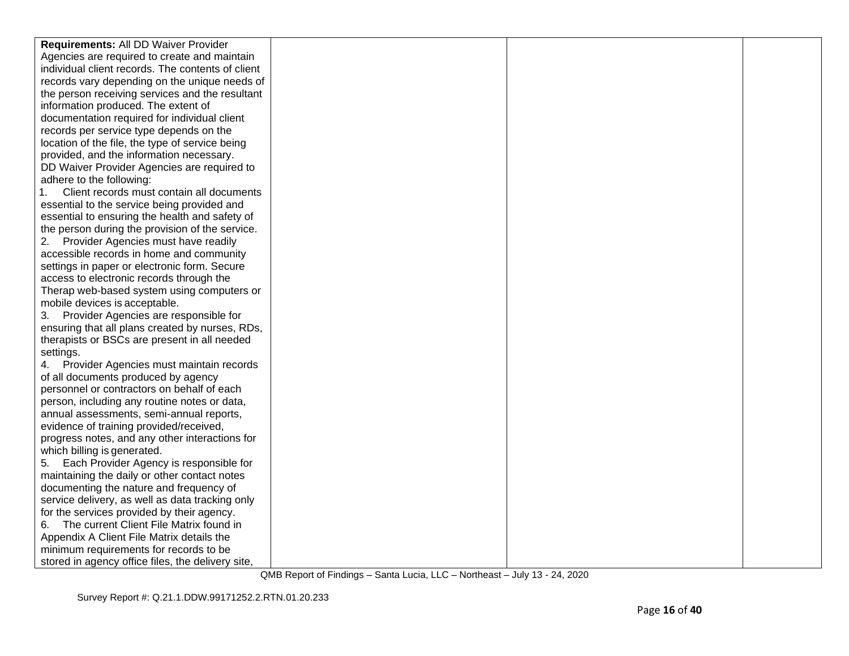| Requirements: All DD Waiver Provider              |  |  |
|---------------------------------------------------|--|--|
| Agencies are required to create and maintain      |  |  |
| individual client records. The contents of client |  |  |
| records vary depending on the unique needs of     |  |  |
| the person receiving services and the resultant   |  |  |
| information produced. The extent of               |  |  |
| documentation required for individual client      |  |  |
| records per service type depends on the           |  |  |
| location of the file, the type of service being   |  |  |
| provided, and the information necessary.          |  |  |
| DD Waiver Provider Agencies are required to       |  |  |
| adhere to the following:                          |  |  |
| 1.<br>Client records must contain all documents   |  |  |
| essential to the service being provided and       |  |  |
| essential to ensuring the health and safety of    |  |  |
| the person during the provision of the service.   |  |  |
| 2. Provider Agencies must have readily            |  |  |
| accessible records in home and community          |  |  |
| settings in paper or electronic form. Secure      |  |  |
| access to electronic records through the          |  |  |
| Therap web-based system using computers or        |  |  |
| mobile devices is acceptable.                     |  |  |
| 3. Provider Agencies are responsible for          |  |  |
| ensuring that all plans created by nurses, RDs,   |  |  |
| therapists or BSCs are present in all needed      |  |  |
| settings.                                         |  |  |
| Provider Agencies must maintain records           |  |  |
| of all documents produced by agency               |  |  |
| personnel or contractors on behalf of each        |  |  |
| person, including any routine notes or data,      |  |  |
| annual assessments, semi-annual reports,          |  |  |
| evidence of training provided/received,           |  |  |
| progress notes, and any other interactions for    |  |  |
| which billing is generated.                       |  |  |
| Each Provider Agency is responsible for<br>5.     |  |  |
| maintaining the daily or other contact notes      |  |  |
| documenting the nature and frequency of           |  |  |
| service delivery, as well as data tracking only   |  |  |
| for the services provided by their agency.        |  |  |
| The current Client File Matrix found in<br>6.     |  |  |
| Appendix A Client File Matrix details the         |  |  |
| minimum requirements for records to be            |  |  |
| stored in agency office files, the delivery site, |  |  |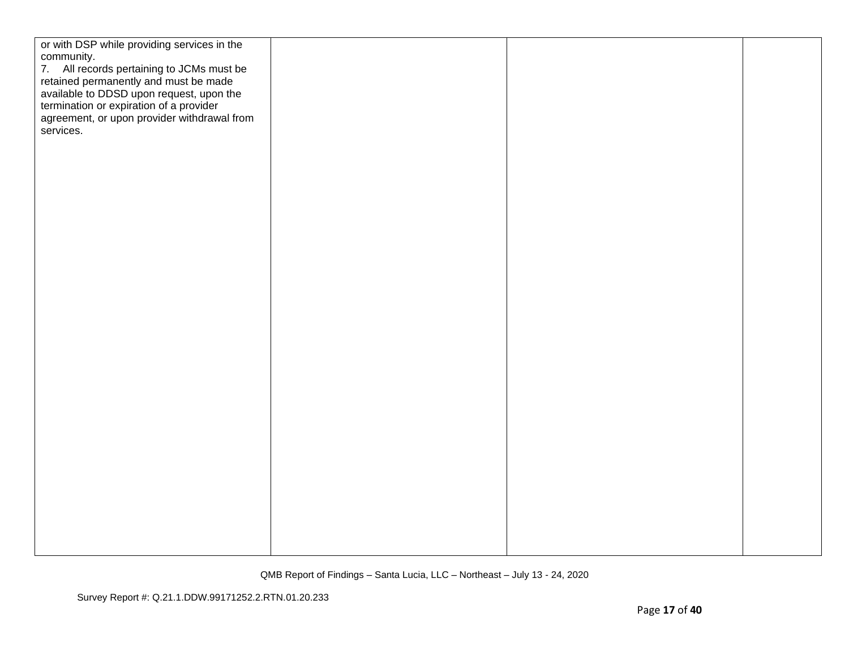| or with DSP while providing services in the<br>community.<br>7. All records pertaining to JCMs must be<br>retained permanently and must be made<br>available to DDSD upon request, upon the<br>termination or expiration of a provider<br>agreement, or upon provider withdrawal from<br>services. |  |  |
|----------------------------------------------------------------------------------------------------------------------------------------------------------------------------------------------------------------------------------------------------------------------------------------------------|--|--|
|                                                                                                                                                                                                                                                                                                    |  |  |
|                                                                                                                                                                                                                                                                                                    |  |  |
|                                                                                                                                                                                                                                                                                                    |  |  |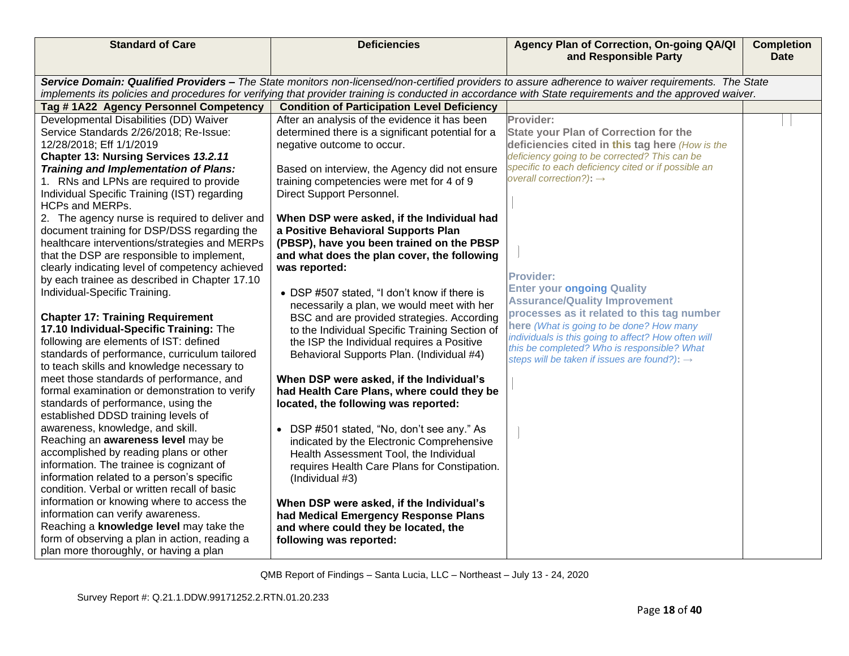| <b>Standard of Care</b>                                                                                                                             | <b>Deficiencies</b>                                                                          | Agency Plan of Correction, On-going QA/QI<br>and Responsible Party                                                                                      | <b>Completion</b><br><b>Date</b> |  |
|-----------------------------------------------------------------------------------------------------------------------------------------------------|----------------------------------------------------------------------------------------------|---------------------------------------------------------------------------------------------------------------------------------------------------------|----------------------------------|--|
| Service Domain: Qualified Providers - The State monitors non-licensed/non-certified providers to assure adherence to waiver requirements. The State |                                                                                              |                                                                                                                                                         |                                  |  |
|                                                                                                                                                     |                                                                                              | implements its policies and procedures for verifying that provider training is conducted in accordance with State requirements and the approved waiver. |                                  |  |
| Tag #1A22 Agency Personnel Competency                                                                                                               | <b>Condition of Participation Level Deficiency</b>                                           |                                                                                                                                                         |                                  |  |
| Developmental Disabilities (DD) Waiver                                                                                                              | After an analysis of the evidence it has been                                                | Provider:                                                                                                                                               |                                  |  |
| Service Standards 2/26/2018; Re-Issue:                                                                                                              | determined there is a significant potential for a                                            | <b>State your Plan of Correction for the</b>                                                                                                            |                                  |  |
| 12/28/2018; Eff 1/1/2019                                                                                                                            | negative outcome to occur.                                                                   | deficiencies cited in this tag here (How is the                                                                                                         |                                  |  |
| Chapter 13: Nursing Services 13.2.11                                                                                                                |                                                                                              | deficiency going to be corrected? This can be                                                                                                           |                                  |  |
| <b>Training and Implementation of Plans:</b>                                                                                                        | Based on interview, the Agency did not ensure                                                | specific to each deficiency cited or if possible an<br>overall correction?): $\rightarrow$                                                              |                                  |  |
| 1. RNs and LPNs are required to provide                                                                                                             | training competencies were met for 4 of 9                                                    |                                                                                                                                                         |                                  |  |
| Individual Specific Training (IST) regarding                                                                                                        | Direct Support Personnel.                                                                    |                                                                                                                                                         |                                  |  |
| HCPs and MERPs.                                                                                                                                     |                                                                                              |                                                                                                                                                         |                                  |  |
| 2. The agency nurse is required to deliver and                                                                                                      | When DSP were asked, if the Individual had                                                   |                                                                                                                                                         |                                  |  |
| document training for DSP/DSS regarding the                                                                                                         | a Positive Behavioral Supports Plan                                                          |                                                                                                                                                         |                                  |  |
| healthcare interventions/strategies and MERPs                                                                                                       | (PBSP), have you been trained on the PBSP                                                    |                                                                                                                                                         |                                  |  |
| that the DSP are responsible to implement,                                                                                                          | and what does the plan cover, the following                                                  |                                                                                                                                                         |                                  |  |
| clearly indicating level of competency achieved                                                                                                     | was reported:                                                                                | <b>Provider:</b>                                                                                                                                        |                                  |  |
| by each trainee as described in Chapter 17.10<br>Individual-Specific Training.                                                                      |                                                                                              | <b>Enter your ongoing Quality</b>                                                                                                                       |                                  |  |
|                                                                                                                                                     | • DSP #507 stated, "I don't know if there is                                                 | <b>Assurance/Quality Improvement</b>                                                                                                                    |                                  |  |
|                                                                                                                                                     | necessarily a plan, we would meet with her                                                   | processes as it related to this tag number                                                                                                              |                                  |  |
| <b>Chapter 17: Training Requirement</b><br>17.10 Individual-Specific Training: The                                                                  | BSC and are provided strategies. According<br>to the Individual Specific Training Section of | here (What is going to be done? How many                                                                                                                |                                  |  |
| following are elements of IST: defined                                                                                                              | the ISP the Individual requires a Positive                                                   | individuals is this going to affect? How often will                                                                                                     |                                  |  |
| standards of performance, curriculum tailored                                                                                                       | Behavioral Supports Plan. (Individual #4)                                                    | this be completed? Who is responsible? What                                                                                                             |                                  |  |
| to teach skills and knowledge necessary to                                                                                                          |                                                                                              | steps will be taken if issues are found?): $\rightarrow$                                                                                                |                                  |  |
| meet those standards of performance, and                                                                                                            | When DSP were asked, if the Individual's                                                     |                                                                                                                                                         |                                  |  |
| formal examination or demonstration to verify                                                                                                       | had Health Care Plans, where could they be                                                   |                                                                                                                                                         |                                  |  |
| standards of performance, using the                                                                                                                 | located, the following was reported:                                                         |                                                                                                                                                         |                                  |  |
| established DDSD training levels of                                                                                                                 |                                                                                              |                                                                                                                                                         |                                  |  |
| awareness, knowledge, and skill.                                                                                                                    | • DSP #501 stated, "No, don't see any." As                                                   |                                                                                                                                                         |                                  |  |
| Reaching an awareness level may be                                                                                                                  | indicated by the Electronic Comprehensive                                                    |                                                                                                                                                         |                                  |  |
| accomplished by reading plans or other                                                                                                              | Health Assessment Tool, the Individual                                                       |                                                                                                                                                         |                                  |  |
| information. The trainee is cognizant of                                                                                                            | requires Health Care Plans for Constipation.                                                 |                                                                                                                                                         |                                  |  |
| information related to a person's specific                                                                                                          | (Individual #3)                                                                              |                                                                                                                                                         |                                  |  |
| condition. Verbal or written recall of basic                                                                                                        |                                                                                              |                                                                                                                                                         |                                  |  |
| information or knowing where to access the                                                                                                          | When DSP were asked, if the Individual's                                                     |                                                                                                                                                         |                                  |  |
| information can verify awareness.                                                                                                                   | had Medical Emergency Response Plans                                                         |                                                                                                                                                         |                                  |  |
| Reaching a knowledge level may take the                                                                                                             | and where could they be located, the                                                         |                                                                                                                                                         |                                  |  |
| form of observing a plan in action, reading a                                                                                                       | following was reported:                                                                      |                                                                                                                                                         |                                  |  |
| plan more thoroughly, or having a plan                                                                                                              |                                                                                              |                                                                                                                                                         |                                  |  |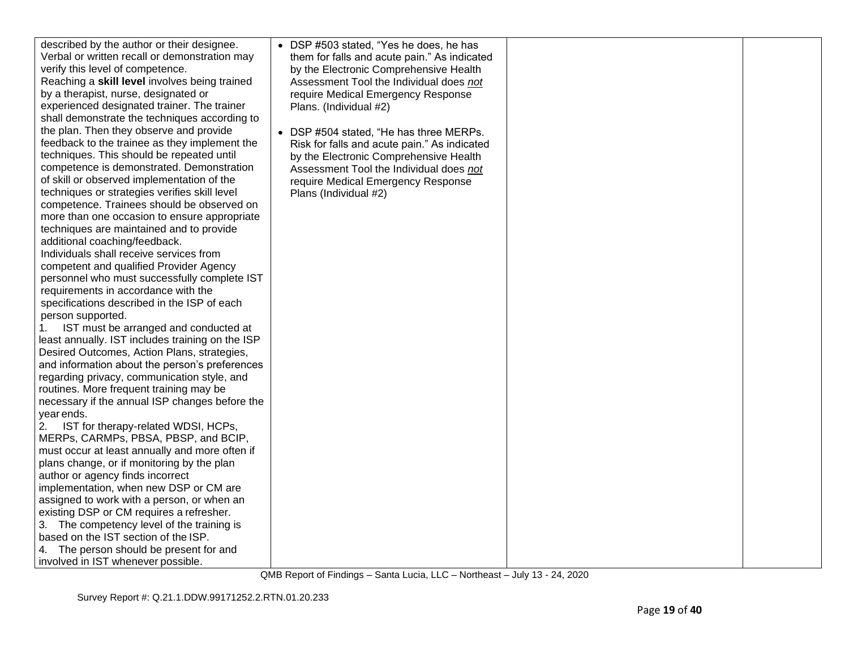| described by the author or their designee.       | • DSP #503 stated, "Yes he does, he has      |  |
|--------------------------------------------------|----------------------------------------------|--|
| Verbal or written recall or demonstration may    | them for falls and acute pain." As indicated |  |
| verify this level of competence.                 | by the Electronic Comprehensive Health       |  |
| Reaching a skill level involves being trained    | Assessment Tool the Individual does not      |  |
| by a therapist, nurse, designated or             | require Medical Emergency Response           |  |
| experienced designated trainer. The trainer      | Plans. (Individual #2)                       |  |
| shall demonstrate the techniques according to    |                                              |  |
| the plan. Then they observe and provide          | • DSP #504 stated, "He has three MERPs.      |  |
| feedback to the trainee as they implement the    | Risk for falls and acute pain." As indicated |  |
| techniques. This should be repeated until        | by the Electronic Comprehensive Health       |  |
| competence is demonstrated. Demonstration        |                                              |  |
| of skill or observed implementation of the       | Assessment Tool the Individual does not      |  |
| techniques or strategies verifies skill level    | require Medical Emergency Response           |  |
| competence. Trainees should be observed on       | Plans (Individual #2)                        |  |
| more than one occasion to ensure appropriate     |                                              |  |
| techniques are maintained and to provide         |                                              |  |
| additional coaching/feedback.                    |                                              |  |
| Individuals shall receive services from          |                                              |  |
| competent and qualified Provider Agency          |                                              |  |
| personnel who must successfully complete IST     |                                              |  |
| requirements in accordance with the              |                                              |  |
| specifications described in the ISP of each      |                                              |  |
| person supported.                                |                                              |  |
| IST must be arranged and conducted at<br>1.      |                                              |  |
| least annually. IST includes training on the ISP |                                              |  |
| Desired Outcomes, Action Plans, strategies,      |                                              |  |
| and information about the person's preferences   |                                              |  |
| regarding privacy, communication style, and      |                                              |  |
| routines. More frequent training may be          |                                              |  |
| necessary if the annual ISP changes before the   |                                              |  |
| year ends.                                       |                                              |  |
| IST for therapy-related WDSI, HCPs,<br>2.        |                                              |  |
| MERPs, CARMPs, PBSA, PBSP, and BCIP,             |                                              |  |
| must occur at least annually and more often if   |                                              |  |
| plans change, or if monitoring by the plan       |                                              |  |
| author or agency finds incorrect                 |                                              |  |
| implementation, when new DSP or CM are           |                                              |  |
| assigned to work with a person, or when an       |                                              |  |
| existing DSP or CM requires a refresher.         |                                              |  |
| 3. The competency level of the training is       |                                              |  |
| based on the IST section of the ISP.             |                                              |  |
| 4. The person should be present for and          |                                              |  |
| involved in IST whenever possible.               |                                              |  |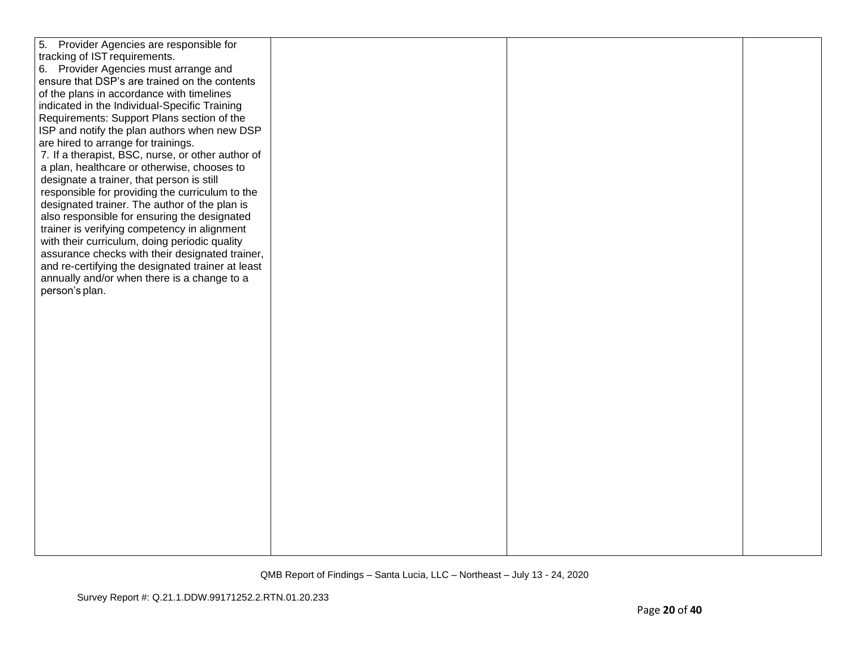| 5. Provider Agencies are responsible for          |  |  |
|---------------------------------------------------|--|--|
| tracking of IST requirements.                     |  |  |
| 6. Provider Agencies must arrange and             |  |  |
| ensure that DSP's are trained on the contents     |  |  |
| of the plans in accordance with timelines         |  |  |
| indicated in the Individual-Specific Training     |  |  |
| Requirements: Support Plans section of the        |  |  |
| ISP and notify the plan authors when new DSP      |  |  |
| are hired to arrange for trainings.               |  |  |
| 7. If a therapist, BSC, nurse, or other author of |  |  |
| a plan, healthcare or otherwise, chooses to       |  |  |
| designate a trainer, that person is still         |  |  |
| responsible for providing the curriculum to the   |  |  |
| designated trainer. The author of the plan is     |  |  |
| also responsible for ensuring the designated      |  |  |
| trainer is verifying competency in alignment      |  |  |
| with their curriculum, doing periodic quality     |  |  |
| assurance checks with their designated trainer,   |  |  |
| and re-certifying the designated trainer at least |  |  |
| annually and/or when there is a change to a       |  |  |
| person's plan.                                    |  |  |
|                                                   |  |  |
|                                                   |  |  |
|                                                   |  |  |
|                                                   |  |  |
|                                                   |  |  |
|                                                   |  |  |
|                                                   |  |  |
|                                                   |  |  |
|                                                   |  |  |
|                                                   |  |  |
|                                                   |  |  |
|                                                   |  |  |
|                                                   |  |  |
|                                                   |  |  |
|                                                   |  |  |
|                                                   |  |  |
|                                                   |  |  |
|                                                   |  |  |
|                                                   |  |  |
|                                                   |  |  |
|                                                   |  |  |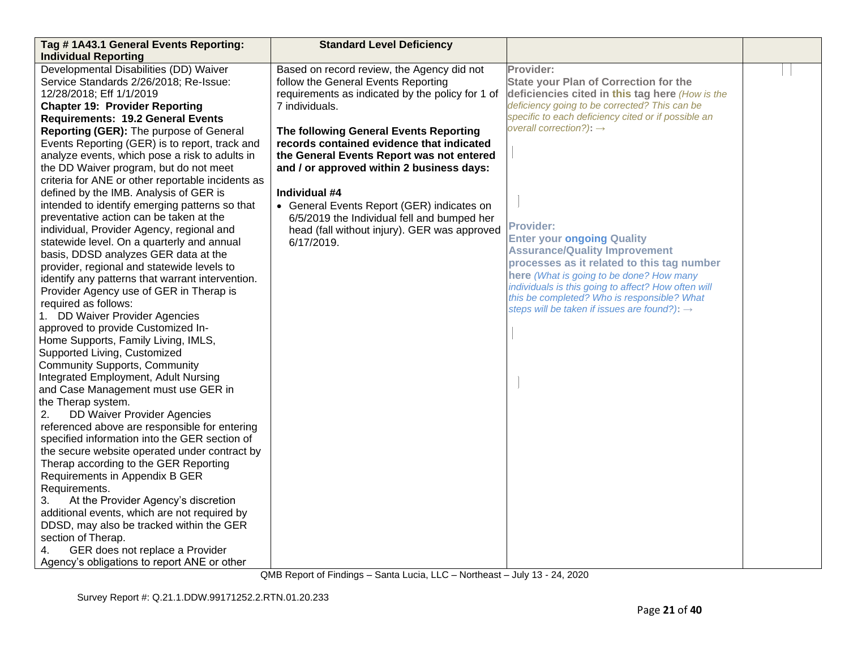| Tag # 1A43.1 General Events Reporting:                                                                                                                                                                                                                                                                                                                                                                                                                                                                                                                                                                                                                                                                                                                                                                                                                                                                                                                                                                                                                                                                                                                                                                                                                                                                                                                                                                                                                                                                                                                                                                                                                                                                                                                               | <b>Standard Level Deficiency</b>                                                                                                                                                                                                                                                                                                                                                                                                                                                                                     |                                                                                                                                                                                                                                                                                                                                                                                                                                                                                                                                                                                                                          |  |
|----------------------------------------------------------------------------------------------------------------------------------------------------------------------------------------------------------------------------------------------------------------------------------------------------------------------------------------------------------------------------------------------------------------------------------------------------------------------------------------------------------------------------------------------------------------------------------------------------------------------------------------------------------------------------------------------------------------------------------------------------------------------------------------------------------------------------------------------------------------------------------------------------------------------------------------------------------------------------------------------------------------------------------------------------------------------------------------------------------------------------------------------------------------------------------------------------------------------------------------------------------------------------------------------------------------------------------------------------------------------------------------------------------------------------------------------------------------------------------------------------------------------------------------------------------------------------------------------------------------------------------------------------------------------------------------------------------------------------------------------------------------------|----------------------------------------------------------------------------------------------------------------------------------------------------------------------------------------------------------------------------------------------------------------------------------------------------------------------------------------------------------------------------------------------------------------------------------------------------------------------------------------------------------------------|--------------------------------------------------------------------------------------------------------------------------------------------------------------------------------------------------------------------------------------------------------------------------------------------------------------------------------------------------------------------------------------------------------------------------------------------------------------------------------------------------------------------------------------------------------------------------------------------------------------------------|--|
| <b>Individual Reporting</b><br>Developmental Disabilities (DD) Waiver<br>Service Standards 2/26/2018; Re-Issue:<br>12/28/2018; Eff 1/1/2019<br><b>Chapter 19: Provider Reporting</b><br><b>Requirements: 19.2 General Events</b><br>Reporting (GER): The purpose of General<br>Events Reporting (GER) is to report, track and<br>analyze events, which pose a risk to adults in<br>the DD Waiver program, but do not meet<br>criteria for ANE or other reportable incidents as<br>defined by the IMB. Analysis of GER is<br>intended to identify emerging patterns so that<br>preventative action can be taken at the<br>individual, Provider Agency, regional and<br>statewide level. On a quarterly and annual<br>basis, DDSD analyzes GER data at the<br>provider, regional and statewide levels to<br>identify any patterns that warrant intervention.<br>Provider Agency use of GER in Therap is<br>required as follows:<br>1. DD Waiver Provider Agencies<br>approved to provide Customized In-<br>Home Supports, Family Living, IMLS,<br>Supported Living, Customized<br><b>Community Supports, Community</b><br>Integrated Employment, Adult Nursing<br>and Case Management must use GER in<br>the Therap system.<br>DD Waiver Provider Agencies<br>2.<br>referenced above are responsible for entering<br>specified information into the GER section of<br>the secure website operated under contract by<br>Therap according to the GER Reporting<br>Requirements in Appendix B GER<br>Requirements.<br>3.<br>At the Provider Agency's discretion<br>additional events, which are not required by<br>DDSD, may also be tracked within the GER<br>section of Therap.<br>GER does not replace a Provider<br>4.<br>Agency's obligations to report ANE or other | Based on record review, the Agency did not<br>follow the General Events Reporting<br>requirements as indicated by the policy for 1 of<br>7 individuals.<br>The following General Events Reporting<br>records contained evidence that indicated<br>the General Events Report was not entered<br>and / or approved within 2 business days:<br>Individual #4<br>• General Events Report (GER) indicates on<br>6/5/2019 the Individual fell and bumped her<br>head (fall without injury). GER was approved<br>6/17/2019. | Provider:<br><b>State your Plan of Correction for the</b><br>deficiencies cited in this tag here (How is the<br>deficiency going to be corrected? This can be<br>specific to each deficiency cited or if possible an<br>overall correction?): $\rightarrow$<br><b>Provider:</b><br><b>Enter your ongoing Quality</b><br><b>Assurance/Quality Improvement</b><br>processes as it related to this tag number<br>here (What is going to be done? How many<br>individuals is this going to affect? How often will<br>this be completed? Who is responsible? What<br>steps will be taken if issues are found?): $\rightarrow$ |  |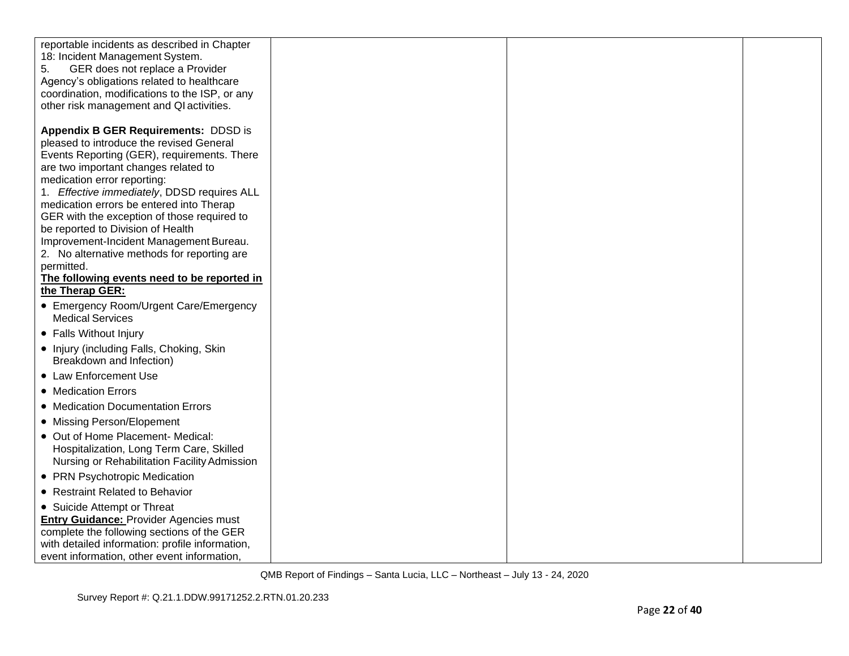| reportable incidents as described in Chapter<br>18: Incident Management System.<br>5.<br>GER does not replace a Provider<br>Agency's obligations related to healthcare<br>coordination, modifications to the ISP, or any<br>other risk management and QI activities.                                                                                                                                                                                                                                 |  |  |
|------------------------------------------------------------------------------------------------------------------------------------------------------------------------------------------------------------------------------------------------------------------------------------------------------------------------------------------------------------------------------------------------------------------------------------------------------------------------------------------------------|--|--|
| <b>Appendix B GER Requirements: DDSD is</b><br>pleased to introduce the revised General<br>Events Reporting (GER), requirements. There<br>are two important changes related to<br>medication error reporting:<br>1. Effective immediately, DDSD requires ALL<br>medication errors be entered into Therap<br>GER with the exception of those required to<br>be reported to Division of Health<br>Improvement-Incident Management Bureau.<br>2. No alternative methods for reporting are<br>permitted. |  |  |
| The following events need to be reported in<br>the Therap GER:                                                                                                                                                                                                                                                                                                                                                                                                                                       |  |  |
| • Emergency Room/Urgent Care/Emergency<br><b>Medical Services</b>                                                                                                                                                                                                                                                                                                                                                                                                                                    |  |  |
| • Falls Without Injury                                                                                                                                                                                                                                                                                                                                                                                                                                                                               |  |  |
| • Injury (including Falls, Choking, Skin<br>Breakdown and Infection)                                                                                                                                                                                                                                                                                                                                                                                                                                 |  |  |
| • Law Enforcement Use                                                                                                                                                                                                                                                                                                                                                                                                                                                                                |  |  |
| • Medication Errors                                                                                                                                                                                                                                                                                                                                                                                                                                                                                  |  |  |
| • Medication Documentation Errors                                                                                                                                                                                                                                                                                                                                                                                                                                                                    |  |  |
| • Missing Person/Elopement                                                                                                                                                                                                                                                                                                                                                                                                                                                                           |  |  |
| • Out of Home Placement- Medical:<br>Hospitalization, Long Term Care, Skilled<br>Nursing or Rehabilitation Facility Admission                                                                                                                                                                                                                                                                                                                                                                        |  |  |
| • PRN Psychotropic Medication                                                                                                                                                                                                                                                                                                                                                                                                                                                                        |  |  |
| • Restraint Related to Behavior                                                                                                                                                                                                                                                                                                                                                                                                                                                                      |  |  |
| • Suicide Attempt or Threat<br><b>Entry Guidance: Provider Agencies must</b><br>complete the following sections of the GER<br>with detailed information: profile information,<br>event information, other event information,                                                                                                                                                                                                                                                                         |  |  |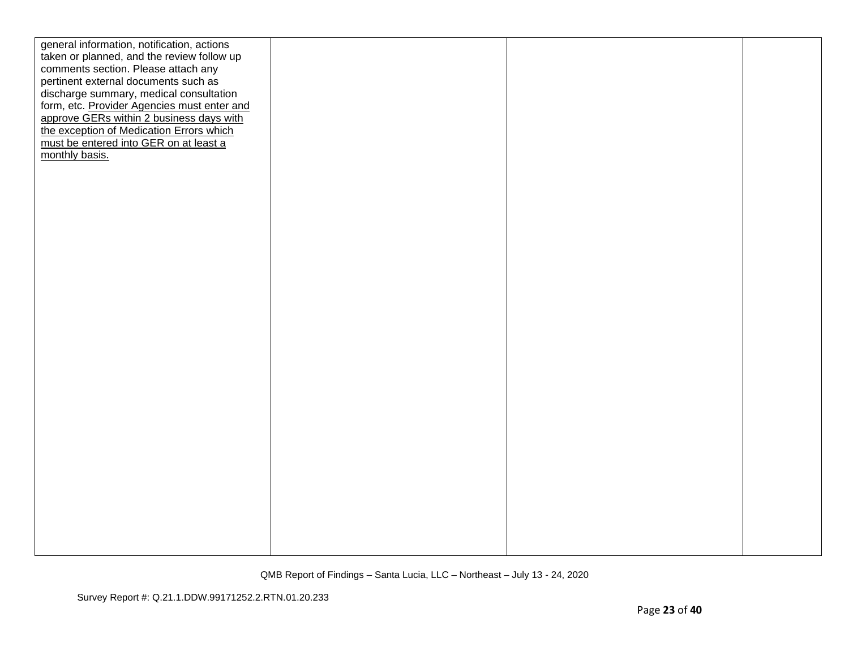| general information, notification, actions  |  |  |
|---------------------------------------------|--|--|
| taken or planned, and the review follow up  |  |  |
| comments section. Please attach any         |  |  |
| pertinent external documents such as        |  |  |
| discharge summary, medical consultation     |  |  |
| form, etc. Provider Agencies must enter and |  |  |
| approve GERs within 2 business days with    |  |  |
| the exception of Medication Errors which    |  |  |
| must be entered into GER on at least a      |  |  |
| monthly basis.                              |  |  |
|                                             |  |  |
|                                             |  |  |
|                                             |  |  |
|                                             |  |  |
|                                             |  |  |
|                                             |  |  |
|                                             |  |  |
|                                             |  |  |
|                                             |  |  |
|                                             |  |  |
|                                             |  |  |
|                                             |  |  |
|                                             |  |  |
|                                             |  |  |
|                                             |  |  |
|                                             |  |  |
|                                             |  |  |
|                                             |  |  |
|                                             |  |  |
|                                             |  |  |
|                                             |  |  |
|                                             |  |  |
|                                             |  |  |
|                                             |  |  |
|                                             |  |  |
|                                             |  |  |
|                                             |  |  |
|                                             |  |  |
|                                             |  |  |
|                                             |  |  |
|                                             |  |  |
|                                             |  |  |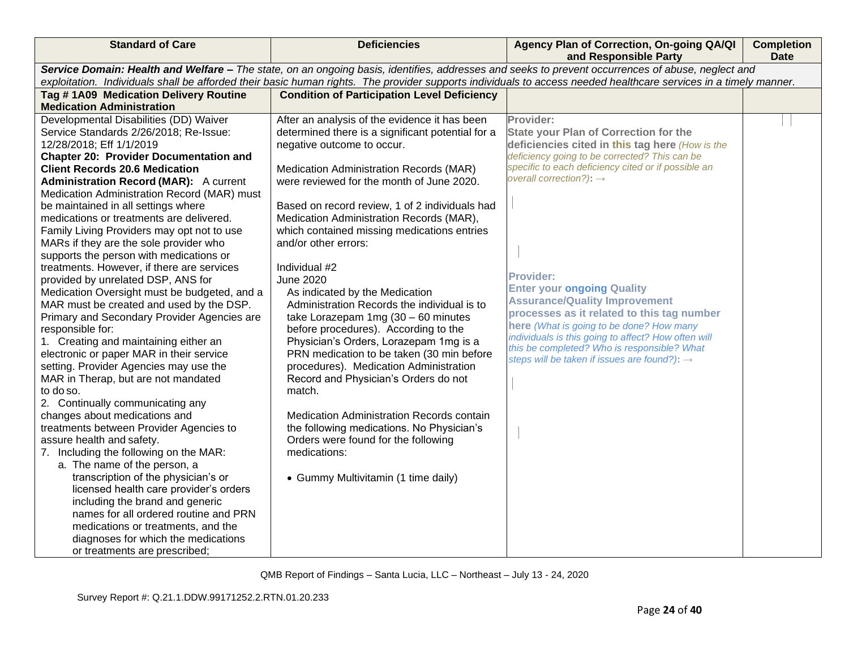| <b>Standard of Care</b>                                                              | <b>Deficiencies</b>                                                                     | Agency Plan of Correction, On-going QA/QI<br>and Responsible Party                                                                                               | <b>Completion</b><br><b>Date</b> |
|--------------------------------------------------------------------------------------|-----------------------------------------------------------------------------------------|------------------------------------------------------------------------------------------------------------------------------------------------------------------|----------------------------------|
|                                                                                      |                                                                                         | Service Domain: Health and Welfare - The state, on an ongoing basis, identifies, addresses and seeks to prevent occurrences of abuse, neglect and                |                                  |
|                                                                                      |                                                                                         | exploitation. Individuals shall be afforded their basic human rights. The provider supports individuals to access needed healthcare services in a timely manner. |                                  |
| Tag #1A09 Medication Delivery Routine                                                | <b>Condition of Participation Level Deficiency</b>                                      |                                                                                                                                                                  |                                  |
| <b>Medication Administration</b>                                                     |                                                                                         |                                                                                                                                                                  |                                  |
| Developmental Disabilities (DD) Waiver                                               | After an analysis of the evidence it has been                                           | Provider:                                                                                                                                                        |                                  |
| Service Standards 2/26/2018; Re-Issue:                                               | determined there is a significant potential for a                                       | <b>State your Plan of Correction for the</b>                                                                                                                     |                                  |
| 12/28/2018; Eff 1/1/2019                                                             | negative outcome to occur.                                                              | deficiencies cited in this tag here (How is the                                                                                                                  |                                  |
| <b>Chapter 20: Provider Documentation and</b>                                        |                                                                                         | deficiency going to be corrected? This can be<br>specific to each deficiency cited or if possible an                                                             |                                  |
| <b>Client Records 20.6 Medication</b>                                                | Medication Administration Records (MAR)                                                 | overall correction?): $\rightarrow$                                                                                                                              |                                  |
| <b>Administration Record (MAR):</b> A current                                        | were reviewed for the month of June 2020.                                               |                                                                                                                                                                  |                                  |
| Medication Administration Record (MAR) must                                          |                                                                                         |                                                                                                                                                                  |                                  |
| be maintained in all settings where                                                  | Based on record review, 1 of 2 individuals had                                          |                                                                                                                                                                  |                                  |
| medications or treatments are delivered.                                             | Medication Administration Records (MAR),<br>which contained missing medications entries |                                                                                                                                                                  |                                  |
| Family Living Providers may opt not to use<br>MARs if they are the sole provider who | and/or other errors:                                                                    |                                                                                                                                                                  |                                  |
| supports the person with medications or                                              |                                                                                         |                                                                                                                                                                  |                                  |
| treatments. However, if there are services                                           | Individual #2                                                                           |                                                                                                                                                                  |                                  |
| provided by unrelated DSP, ANS for                                                   | <b>June 2020</b>                                                                        | <b>Provider:</b>                                                                                                                                                 |                                  |
| Medication Oversight must be budgeted, and a                                         | As indicated by the Medication                                                          | <b>Enter your ongoing Quality</b>                                                                                                                                |                                  |
| MAR must be created and used by the DSP.                                             | Administration Records the individual is to                                             | <b>Assurance/Quality Improvement</b>                                                                                                                             |                                  |
| Primary and Secondary Provider Agencies are                                          | take Lorazepam 1mg $(30 - 60$ minutes                                                   | processes as it related to this tag number                                                                                                                       |                                  |
| responsible for:                                                                     | before procedures). According to the                                                    | here (What is going to be done? How many                                                                                                                         |                                  |
| 1. Creating and maintaining either an                                                | Physician's Orders, Lorazepam 1mg is a                                                  | individuals is this going to affect? How often will                                                                                                              |                                  |
| electronic or paper MAR in their service                                             | PRN medication to be taken (30 min before                                               | this be completed? Who is responsible? What                                                                                                                      |                                  |
| setting. Provider Agencies may use the                                               | procedures). Medication Administration                                                  | steps will be taken if issues are found?): →                                                                                                                     |                                  |
| MAR in Therap, but are not mandated                                                  | Record and Physician's Orders do not                                                    |                                                                                                                                                                  |                                  |
| to do so.                                                                            | match.                                                                                  |                                                                                                                                                                  |                                  |
| 2. Continually communicating any                                                     |                                                                                         |                                                                                                                                                                  |                                  |
| changes about medications and                                                        | Medication Administration Records contain                                               |                                                                                                                                                                  |                                  |
| treatments between Provider Agencies to                                              | the following medications. No Physician's                                               |                                                                                                                                                                  |                                  |
| assure health and safety.                                                            | Orders were found for the following                                                     |                                                                                                                                                                  |                                  |
| 7. Including the following on the MAR:                                               | medications:                                                                            |                                                                                                                                                                  |                                  |
| a. The name of the person, a                                                         |                                                                                         |                                                                                                                                                                  |                                  |
| transcription of the physician's or                                                  | • Gummy Multivitamin (1 time daily)                                                     |                                                                                                                                                                  |                                  |
| licensed health care provider's orders                                               |                                                                                         |                                                                                                                                                                  |                                  |
| including the brand and generic                                                      |                                                                                         |                                                                                                                                                                  |                                  |
| names for all ordered routine and PRN                                                |                                                                                         |                                                                                                                                                                  |                                  |
| medications or treatments, and the                                                   |                                                                                         |                                                                                                                                                                  |                                  |
| diagnoses for which the medications                                                  |                                                                                         |                                                                                                                                                                  |                                  |
| or treatments are prescribed;                                                        |                                                                                         |                                                                                                                                                                  |                                  |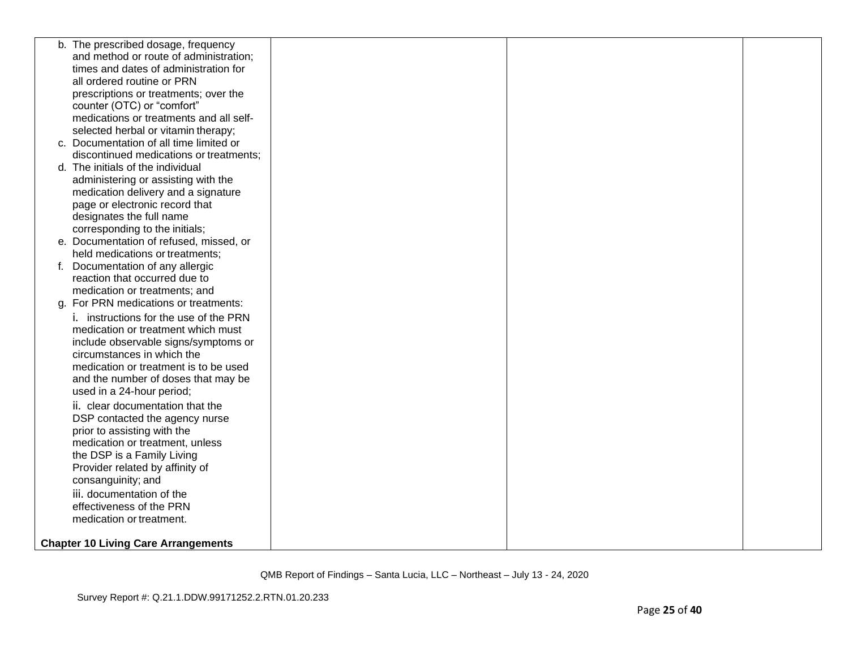| b. The prescribed dosage, frequency<br>and method or route of administration;<br>times and dates of administration for<br>all ordered routine or PRN<br>prescriptions or treatments; over the<br>counter (OTC) or "comfort"<br>medications or treatments and all self-<br>selected herbal or vitamin therapy;<br>c. Documentation of all time limited or<br>discontinued medications or treatments;<br>d. The initials of the individual<br>administering or assisting with the<br>medication delivery and a signature<br>page or electronic record that |  |
|----------------------------------------------------------------------------------------------------------------------------------------------------------------------------------------------------------------------------------------------------------------------------------------------------------------------------------------------------------------------------------------------------------------------------------------------------------------------------------------------------------------------------------------------------------|--|
|                                                                                                                                                                                                                                                                                                                                                                                                                                                                                                                                                          |  |
|                                                                                                                                                                                                                                                                                                                                                                                                                                                                                                                                                          |  |
|                                                                                                                                                                                                                                                                                                                                                                                                                                                                                                                                                          |  |
|                                                                                                                                                                                                                                                                                                                                                                                                                                                                                                                                                          |  |
|                                                                                                                                                                                                                                                                                                                                                                                                                                                                                                                                                          |  |
|                                                                                                                                                                                                                                                                                                                                                                                                                                                                                                                                                          |  |
|                                                                                                                                                                                                                                                                                                                                                                                                                                                                                                                                                          |  |
|                                                                                                                                                                                                                                                                                                                                                                                                                                                                                                                                                          |  |
|                                                                                                                                                                                                                                                                                                                                                                                                                                                                                                                                                          |  |
|                                                                                                                                                                                                                                                                                                                                                                                                                                                                                                                                                          |  |
|                                                                                                                                                                                                                                                                                                                                                                                                                                                                                                                                                          |  |
|                                                                                                                                                                                                                                                                                                                                                                                                                                                                                                                                                          |  |
|                                                                                                                                                                                                                                                                                                                                                                                                                                                                                                                                                          |  |
|                                                                                                                                                                                                                                                                                                                                                                                                                                                                                                                                                          |  |
| designates the full name                                                                                                                                                                                                                                                                                                                                                                                                                                                                                                                                 |  |
| corresponding to the initials;                                                                                                                                                                                                                                                                                                                                                                                                                                                                                                                           |  |
| e. Documentation of refused, missed, or                                                                                                                                                                                                                                                                                                                                                                                                                                                                                                                  |  |
| held medications or treatments;                                                                                                                                                                                                                                                                                                                                                                                                                                                                                                                          |  |
| f. Documentation of any allergic                                                                                                                                                                                                                                                                                                                                                                                                                                                                                                                         |  |
| reaction that occurred due to                                                                                                                                                                                                                                                                                                                                                                                                                                                                                                                            |  |
| medication or treatments; and                                                                                                                                                                                                                                                                                                                                                                                                                                                                                                                            |  |
| g. For PRN medications or treatments:                                                                                                                                                                                                                                                                                                                                                                                                                                                                                                                    |  |
| <i>i.</i> instructions for the use of the PRN                                                                                                                                                                                                                                                                                                                                                                                                                                                                                                            |  |
| medication or treatment which must                                                                                                                                                                                                                                                                                                                                                                                                                                                                                                                       |  |
| include observable signs/symptoms or                                                                                                                                                                                                                                                                                                                                                                                                                                                                                                                     |  |
| circumstances in which the                                                                                                                                                                                                                                                                                                                                                                                                                                                                                                                               |  |
| medication or treatment is to be used                                                                                                                                                                                                                                                                                                                                                                                                                                                                                                                    |  |
| and the number of doses that may be                                                                                                                                                                                                                                                                                                                                                                                                                                                                                                                      |  |
| used in a 24-hour period;                                                                                                                                                                                                                                                                                                                                                                                                                                                                                                                                |  |
| ii. clear documentation that the                                                                                                                                                                                                                                                                                                                                                                                                                                                                                                                         |  |
| DSP contacted the agency nurse                                                                                                                                                                                                                                                                                                                                                                                                                                                                                                                           |  |
| prior to assisting with the                                                                                                                                                                                                                                                                                                                                                                                                                                                                                                                              |  |
| medication or treatment, unless                                                                                                                                                                                                                                                                                                                                                                                                                                                                                                                          |  |
| the DSP is a Family Living                                                                                                                                                                                                                                                                                                                                                                                                                                                                                                                               |  |
| Provider related by affinity of                                                                                                                                                                                                                                                                                                                                                                                                                                                                                                                          |  |
| consanguinity; and                                                                                                                                                                                                                                                                                                                                                                                                                                                                                                                                       |  |
| iii. documentation of the                                                                                                                                                                                                                                                                                                                                                                                                                                                                                                                                |  |
| effectiveness of the PRN                                                                                                                                                                                                                                                                                                                                                                                                                                                                                                                                 |  |
| medication or treatment.                                                                                                                                                                                                                                                                                                                                                                                                                                                                                                                                 |  |
|                                                                                                                                                                                                                                                                                                                                                                                                                                                                                                                                                          |  |
| <b>Chapter 10 Living Care Arrangements</b>                                                                                                                                                                                                                                                                                                                                                                                                                                                                                                               |  |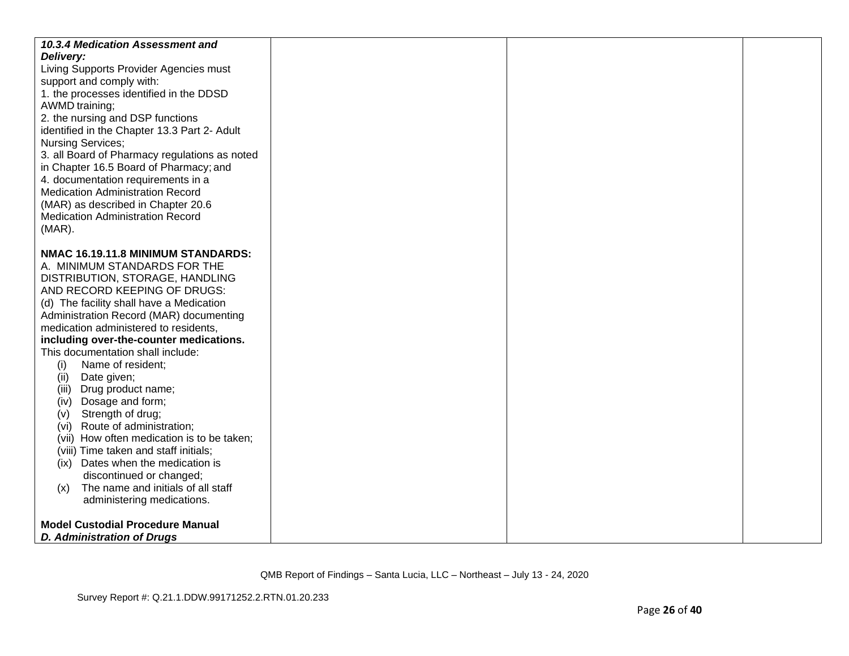| 10.3.4 Medication Assessment and<br>Delivery:<br>Living Supports Provider Agencies must<br>support and comply with:<br>1. the processes identified in the DDSD<br>AWMD training;<br>2. the nursing and DSP functions<br>identified in the Chapter 13.3 Part 2- Adult<br><b>Nursing Services;</b><br>3. all Board of Pharmacy regulations as noted<br>in Chapter 16.5 Board of Pharmacy; and<br>4. documentation requirements in a<br><b>Medication Administration Record</b><br>(MAR) as described in Chapter 20.6<br><b>Medication Administration Record</b><br>$(MAR)$ .<br>NMAC 16.19.11.8 MINIMUM STANDARDS: |  |  |
|------------------------------------------------------------------------------------------------------------------------------------------------------------------------------------------------------------------------------------------------------------------------------------------------------------------------------------------------------------------------------------------------------------------------------------------------------------------------------------------------------------------------------------------------------------------------------------------------------------------|--|--|
| A. MINIMUM STANDARDS FOR THE                                                                                                                                                                                                                                                                                                                                                                                                                                                                                                                                                                                     |  |  |
| DISTRIBUTION, STORAGE, HANDLING<br>AND RECORD KEEPING OF DRUGS:                                                                                                                                                                                                                                                                                                                                                                                                                                                                                                                                                  |  |  |
| (d) The facility shall have a Medication                                                                                                                                                                                                                                                                                                                                                                                                                                                                                                                                                                         |  |  |
| Administration Record (MAR) documenting                                                                                                                                                                                                                                                                                                                                                                                                                                                                                                                                                                          |  |  |
| medication administered to residents,<br>including over-the-counter medications.                                                                                                                                                                                                                                                                                                                                                                                                                                                                                                                                 |  |  |
| This documentation shall include:                                                                                                                                                                                                                                                                                                                                                                                                                                                                                                                                                                                |  |  |
| Name of resident;<br>(i)                                                                                                                                                                                                                                                                                                                                                                                                                                                                                                                                                                                         |  |  |
| Date given;<br>(ii)                                                                                                                                                                                                                                                                                                                                                                                                                                                                                                                                                                                              |  |  |
| (iii) Drug product name;                                                                                                                                                                                                                                                                                                                                                                                                                                                                                                                                                                                         |  |  |
| Dosage and form;<br>(iv)<br>Strength of drug;<br>(v)                                                                                                                                                                                                                                                                                                                                                                                                                                                                                                                                                             |  |  |
| Route of administration;<br>(Vi)                                                                                                                                                                                                                                                                                                                                                                                                                                                                                                                                                                                 |  |  |
| (vii) How often medication is to be taken;                                                                                                                                                                                                                                                                                                                                                                                                                                                                                                                                                                       |  |  |
| (viii) Time taken and staff initials;                                                                                                                                                                                                                                                                                                                                                                                                                                                                                                                                                                            |  |  |
| (ix) Dates when the medication is                                                                                                                                                                                                                                                                                                                                                                                                                                                                                                                                                                                |  |  |
| discontinued or changed;                                                                                                                                                                                                                                                                                                                                                                                                                                                                                                                                                                                         |  |  |
| The name and initials of all staff<br>(x)<br>administering medications.                                                                                                                                                                                                                                                                                                                                                                                                                                                                                                                                          |  |  |
|                                                                                                                                                                                                                                                                                                                                                                                                                                                                                                                                                                                                                  |  |  |
| <b>Model Custodial Procedure Manual</b>                                                                                                                                                                                                                                                                                                                                                                                                                                                                                                                                                                          |  |  |
| D. Administration of Drugs                                                                                                                                                                                                                                                                                                                                                                                                                                                                                                                                                                                       |  |  |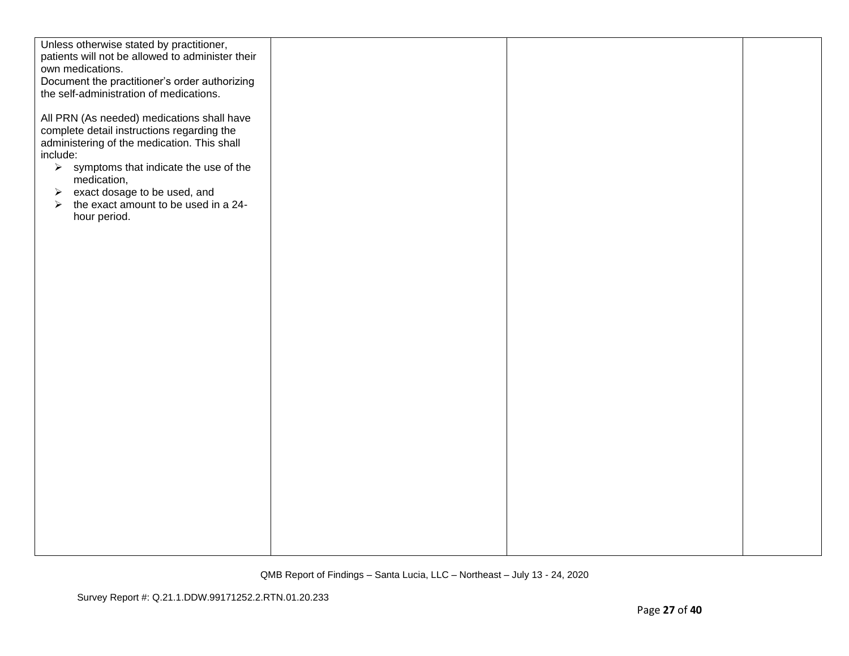| Unless otherwise stated by practitioner,<br>patients will not be allowed to administer their           |  |  |
|--------------------------------------------------------------------------------------------------------|--|--|
| own medications.                                                                                       |  |  |
| Document the practitioner's order authorizing                                                          |  |  |
| the self-administration of medications.                                                                |  |  |
|                                                                                                        |  |  |
| All PRN (As needed) medications shall have                                                             |  |  |
| complete detail instructions regarding the                                                             |  |  |
| administering of the medication. This shall                                                            |  |  |
| include:                                                                                               |  |  |
| $\triangleright$ symptoms that indicate the use of the                                                 |  |  |
| medication,                                                                                            |  |  |
|                                                                                                        |  |  |
| $\triangleright$ exact dosage to be used, and<br>$\triangleright$ the exact amount to be used in a 24- |  |  |
|                                                                                                        |  |  |
| hour period.                                                                                           |  |  |
|                                                                                                        |  |  |
|                                                                                                        |  |  |
|                                                                                                        |  |  |
|                                                                                                        |  |  |
|                                                                                                        |  |  |
|                                                                                                        |  |  |
|                                                                                                        |  |  |
|                                                                                                        |  |  |
|                                                                                                        |  |  |
|                                                                                                        |  |  |
|                                                                                                        |  |  |
|                                                                                                        |  |  |
|                                                                                                        |  |  |
|                                                                                                        |  |  |
|                                                                                                        |  |  |
|                                                                                                        |  |  |
|                                                                                                        |  |  |
|                                                                                                        |  |  |
|                                                                                                        |  |  |
|                                                                                                        |  |  |
|                                                                                                        |  |  |
|                                                                                                        |  |  |
|                                                                                                        |  |  |
|                                                                                                        |  |  |
|                                                                                                        |  |  |
|                                                                                                        |  |  |
|                                                                                                        |  |  |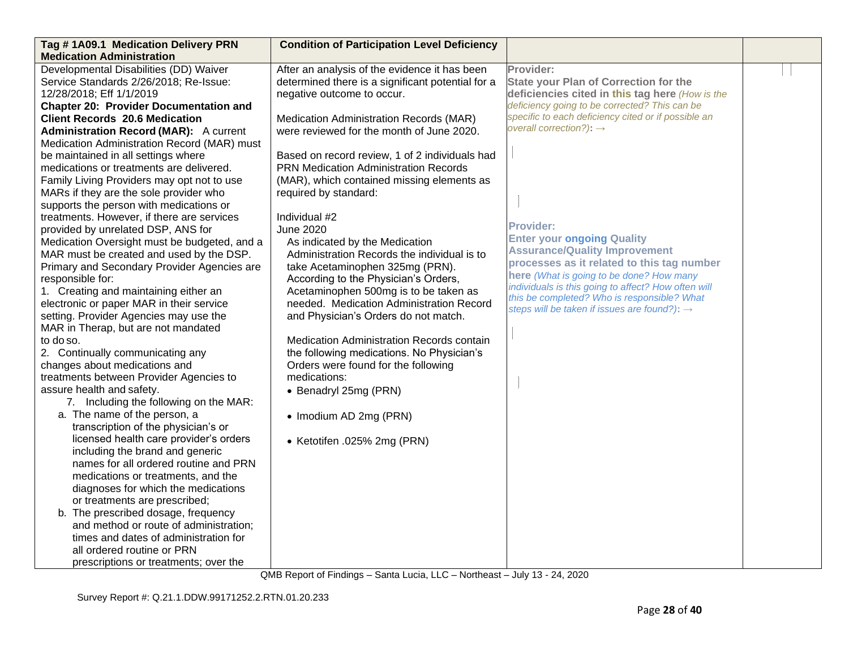| Tag #1A09.1 Medication Delivery PRN           | <b>Condition of Participation Level Deficiency</b> |                                                                                                    |  |
|-----------------------------------------------|----------------------------------------------------|----------------------------------------------------------------------------------------------------|--|
| <b>Medication Administration</b>              |                                                    |                                                                                                    |  |
| Developmental Disabilities (DD) Waiver        | After an analysis of the evidence it has been      | Provider:                                                                                          |  |
| Service Standards 2/26/2018; Re-Issue:        | determined there is a significant potential for a  | <b>State your Plan of Correction for the</b>                                                       |  |
| 12/28/2018; Eff 1/1/2019                      | negative outcome to occur.                         | deficiencies cited in this tag here (How is the                                                    |  |
| <b>Chapter 20: Provider Documentation and</b> |                                                    | deficiency going to be corrected? This can be                                                      |  |
| <b>Client Records 20.6 Medication</b>         | Medication Administration Records (MAR)            | specific to each deficiency cited or if possible an                                                |  |
| <b>Administration Record (MAR):</b> A current | were reviewed for the month of June 2020.          | overall correction?): $\rightarrow$                                                                |  |
| Medication Administration Record (MAR) must   |                                                    |                                                                                                    |  |
| be maintained in all settings where           | Based on record review, 1 of 2 individuals had     |                                                                                                    |  |
| medications or treatments are delivered.      | <b>PRN Medication Administration Records</b>       |                                                                                                    |  |
| Family Living Providers may opt not to use    | (MAR), which contained missing elements as         |                                                                                                    |  |
| MARs if they are the sole provider who        | required by standard:                              |                                                                                                    |  |
| supports the person with medications or       |                                                    |                                                                                                    |  |
| treatments. However, if there are services    | Individual #2                                      |                                                                                                    |  |
| provided by unrelated DSP, ANS for            | <b>June 2020</b>                                   | <b>Provider:</b>                                                                                   |  |
| Medication Oversight must be budgeted, and a  | As indicated by the Medication                     | <b>Enter your ongoing Quality</b>                                                                  |  |
| MAR must be created and used by the DSP.      | Administration Records the individual is to        | <b>Assurance/Quality Improvement</b>                                                               |  |
| Primary and Secondary Provider Agencies are   | take Acetaminophen 325mg (PRN).                    | processes as it related to this tag number                                                         |  |
| responsible for:                              | According to the Physician's Orders,               | here (What is going to be done? How many                                                           |  |
| 1. Creating and maintaining either an         | Acetaminophen 500mg is to be taken as              | individuals is this going to affect? How often will<br>this be completed? Who is responsible? What |  |
| electronic or paper MAR in their service      | needed. Medication Administration Record           | steps will be taken if issues are found?): $\rightarrow$                                           |  |
| setting. Provider Agencies may use the        | and Physician's Orders do not match.               |                                                                                                    |  |
| MAR in Therap, but are not mandated           |                                                    |                                                                                                    |  |
| to do so.                                     | Medication Administration Records contain          |                                                                                                    |  |
| 2. Continually communicating any              | the following medications. No Physician's          |                                                                                                    |  |
| changes about medications and                 | Orders were found for the following                |                                                                                                    |  |
| treatments between Provider Agencies to       | medications:                                       |                                                                                                    |  |
| assure health and safety.                     | • Benadryl 25mg (PRN)                              |                                                                                                    |  |
| 7. Including the following on the MAR:        |                                                    |                                                                                                    |  |
| a. The name of the person, a                  | • Imodium AD 2mg (PRN)                             |                                                                                                    |  |
| transcription of the physician's or           |                                                    |                                                                                                    |  |
| licensed health care provider's orders        | • Ketotifen .025% 2mg (PRN)                        |                                                                                                    |  |
| including the brand and generic               |                                                    |                                                                                                    |  |
| names for all ordered routine and PRN         |                                                    |                                                                                                    |  |
| medications or treatments, and the            |                                                    |                                                                                                    |  |
| diagnoses for which the medications           |                                                    |                                                                                                    |  |
| or treatments are prescribed;                 |                                                    |                                                                                                    |  |
| b. The prescribed dosage, frequency           |                                                    |                                                                                                    |  |
| and method or route of administration;        |                                                    |                                                                                                    |  |
| times and dates of administration for         |                                                    |                                                                                                    |  |
| all ordered routine or PRN                    |                                                    |                                                                                                    |  |
| prescriptions or treatments; over the         |                                                    |                                                                                                    |  |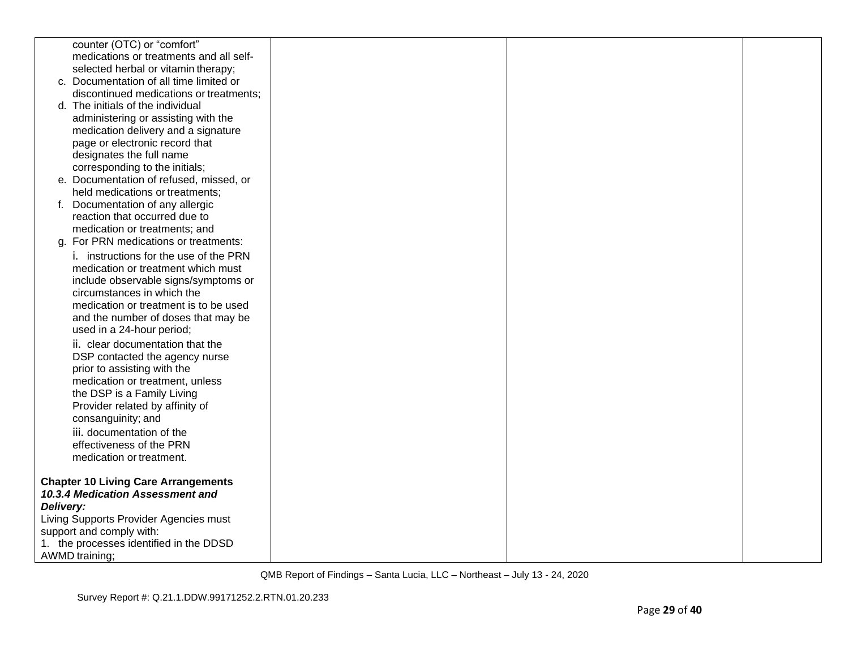|           | counter (OTC) or "comfort"                 |  |  |
|-----------|--------------------------------------------|--|--|
|           | medications or treatments and all self-    |  |  |
|           | selected herbal or vitamin therapy;        |  |  |
|           | c. Documentation of all time limited or    |  |  |
|           | discontinued medications or treatments;    |  |  |
|           | d. The initials of the individual          |  |  |
|           | administering or assisting with the        |  |  |
|           | medication delivery and a signature        |  |  |
|           | page or electronic record that             |  |  |
|           | designates the full name                   |  |  |
|           | corresponding to the initials;             |  |  |
|           | e. Documentation of refused, missed, or    |  |  |
|           | held medications or treatments;            |  |  |
|           | f. Documentation of any allergic           |  |  |
|           | reaction that occurred due to              |  |  |
|           | medication or treatments; and              |  |  |
|           | g. For PRN medications or treatments:      |  |  |
|           | i. instructions for the use of the PRN     |  |  |
|           | medication or treatment which must         |  |  |
|           | include observable signs/symptoms or       |  |  |
|           | circumstances in which the                 |  |  |
|           | medication or treatment is to be used      |  |  |
|           | and the number of doses that may be        |  |  |
|           | used in a 24-hour period;                  |  |  |
|           | ii. clear documentation that the           |  |  |
|           | DSP contacted the agency nurse             |  |  |
|           | prior to assisting with the                |  |  |
|           | medication or treatment, unless            |  |  |
|           | the DSP is a Family Living                 |  |  |
|           | Provider related by affinity of            |  |  |
|           | consanguinity; and                         |  |  |
|           | iii. documentation of the                  |  |  |
|           | effectiveness of the PRN                   |  |  |
|           |                                            |  |  |
|           | medication or treatment.                   |  |  |
|           | <b>Chapter 10 Living Care Arrangements</b> |  |  |
|           | 10.3.4 Medication Assessment and           |  |  |
|           |                                            |  |  |
| Delivery: |                                            |  |  |
|           | Living Supports Provider Agencies must     |  |  |
|           | support and comply with:                   |  |  |
|           | 1. the processes identified in the DDSD    |  |  |
|           | <b>AWMD</b> training;                      |  |  |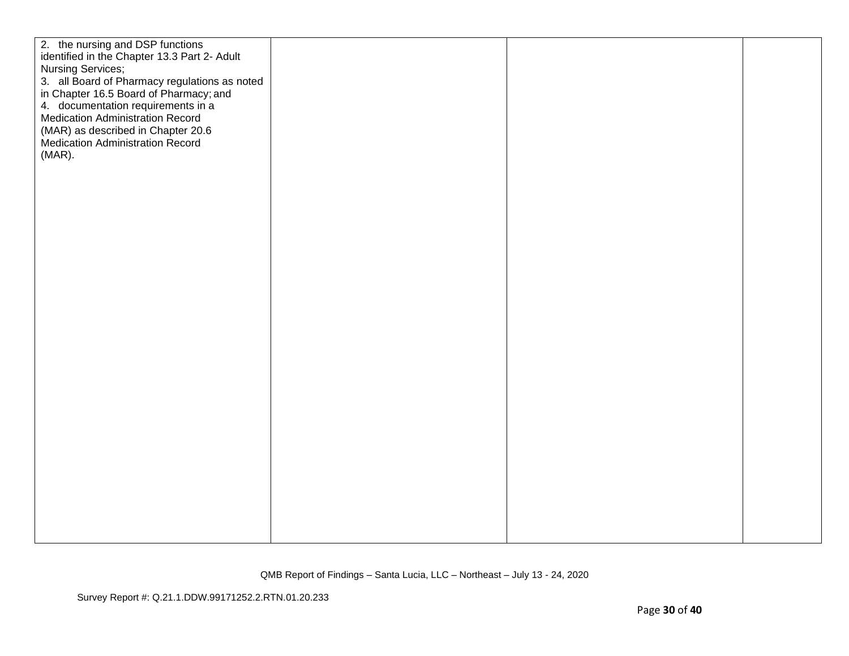| 2. the nursing and DSP functions<br>identified in the Chapter 13.3 Part 2- Adult<br>3. all Board of Pharmacy regulations as noted<br>in Chapter 16.5 Board of Pharmacy; and<br>4. documentation requirements in a<br><b>Medication Administration Record</b><br>(MAR) as described in Chapter 20.6<br>Medication Administration Record |  |
|----------------------------------------------------------------------------------------------------------------------------------------------------------------------------------------------------------------------------------------------------------------------------------------------------------------------------------------|--|
| Nursing Services;<br>$(MAR)$ .                                                                                                                                                                                                                                                                                                         |  |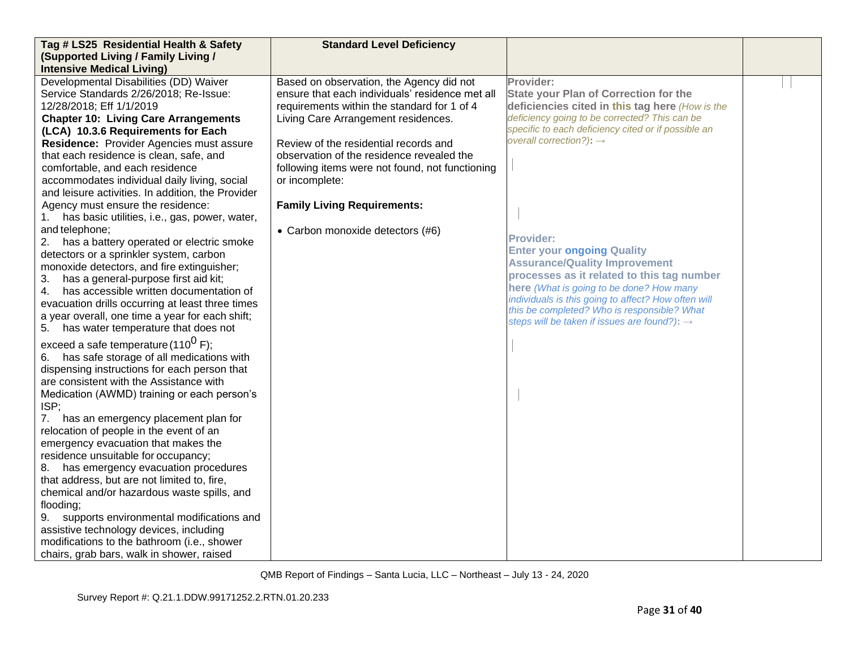| Tag # LS25 Residential Health & Safety                                                | <b>Standard Level Deficiency</b>                |                                                          |  |
|---------------------------------------------------------------------------------------|-------------------------------------------------|----------------------------------------------------------|--|
| (Supported Living / Family Living /                                                   |                                                 |                                                          |  |
| <b>Intensive Medical Living)</b>                                                      |                                                 |                                                          |  |
| Developmental Disabilities (DD) Waiver                                                | Based on observation, the Agency did not        | Provider:                                                |  |
| Service Standards 2/26/2018; Re-Issue:                                                | ensure that each individuals' residence met all | <b>State your Plan of Correction for the</b>             |  |
| 12/28/2018; Eff 1/1/2019                                                              | requirements within the standard for 1 of 4     | deficiencies cited in this tag here (How is the          |  |
| <b>Chapter 10: Living Care Arrangements</b>                                           | Living Care Arrangement residences.             | deficiency going to be corrected? This can be            |  |
| (LCA) 10.3.6 Requirements for Each                                                    |                                                 | specific to each deficiency cited or if possible an      |  |
| Residence: Provider Agencies must assure                                              | Review of the residential records and           | overall correction?): $\rightarrow$                      |  |
| that each residence is clean, safe, and                                               | observation of the residence revealed the       |                                                          |  |
| comfortable, and each residence                                                       | following items were not found, not functioning |                                                          |  |
| accommodates individual daily living, social                                          | or incomplete:                                  |                                                          |  |
| and leisure activities. In addition, the Provider                                     |                                                 |                                                          |  |
| Agency must ensure the residence:                                                     | <b>Family Living Requirements:</b>              |                                                          |  |
| has basic utilities, i.e., gas, power, water,<br>1.                                   |                                                 |                                                          |  |
| and telephone;                                                                        | • Carbon monoxide detectors (#6)                | <b>Provider:</b>                                         |  |
| 2. has a battery operated or electric smoke                                           |                                                 | <b>Enter your ongoing Quality</b>                        |  |
| detectors or a sprinkler system, carbon                                               |                                                 | <b>Assurance/Quality Improvement</b>                     |  |
| monoxide detectors, and fire extinguisher;                                            |                                                 | processes as it related to this tag number               |  |
| has a general-purpose first aid kit;<br>3.<br>has accessible written documentation of |                                                 | here (What is going to be done? How many                 |  |
| 4.<br>evacuation drills occurring at least three times                                |                                                 | individuals is this going to affect? How often will      |  |
| a year overall, one time a year for each shift;                                       |                                                 | this be completed? Who is responsible? What              |  |
| 5. has water temperature that does not                                                |                                                 | steps will be taken if issues are found?): $\rightarrow$ |  |
|                                                                                       |                                                 |                                                          |  |
| exceed a safe temperature (110 <sup>0</sup> F);                                       |                                                 |                                                          |  |
| has safe storage of all medications with                                              |                                                 |                                                          |  |
| dispensing instructions for each person that                                          |                                                 |                                                          |  |
| are consistent with the Assistance with                                               |                                                 |                                                          |  |
| Medication (AWMD) training or each person's                                           |                                                 |                                                          |  |
| ISP;                                                                                  |                                                 |                                                          |  |
| has an emergency placement plan for<br>7.                                             |                                                 |                                                          |  |
| relocation of people in the event of an                                               |                                                 |                                                          |  |
| emergency evacuation that makes the<br>residence unsuitable for occupancy;            |                                                 |                                                          |  |
| 8. has emergency evacuation procedures                                                |                                                 |                                                          |  |
| that address, but are not limited to, fire,                                           |                                                 |                                                          |  |
| chemical and/or hazardous waste spills, and                                           |                                                 |                                                          |  |
| flooding;                                                                             |                                                 |                                                          |  |
| supports environmental modifications and<br>9.                                        |                                                 |                                                          |  |
| assistive technology devices, including                                               |                                                 |                                                          |  |
| modifications to the bathroom (i.e., shower                                           |                                                 |                                                          |  |
| chairs, grab bars, walk in shower, raised                                             |                                                 |                                                          |  |
|                                                                                       |                                                 |                                                          |  |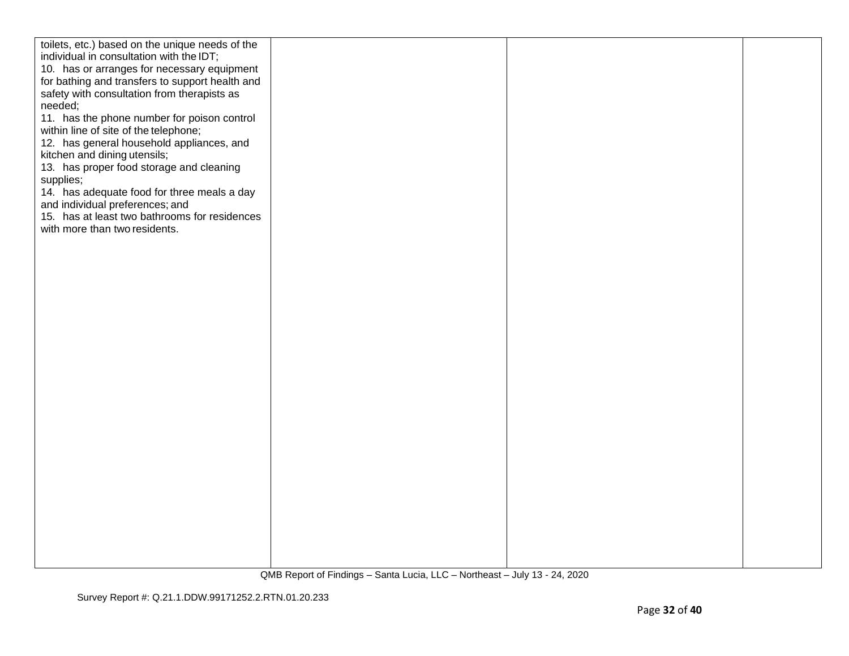| toilets, etc.) based on the unique needs of the |  |  |
|-------------------------------------------------|--|--|
| individual in consultation with the IDT;        |  |  |
|                                                 |  |  |
| 10. has or arranges for necessary equipment     |  |  |
| for bathing and transfers to support health and |  |  |
| safety with consultation from therapists as     |  |  |
|                                                 |  |  |
| needed;                                         |  |  |
| 11. has the phone number for poison control     |  |  |
| within line of site of the telephone;           |  |  |
| 12. has general household appliances, and       |  |  |
|                                                 |  |  |
| kitchen and dining utensils;                    |  |  |
| 13. has proper food storage and cleaning        |  |  |
| supplies;                                       |  |  |
| 14. has adequate food for three meals a day     |  |  |
|                                                 |  |  |
| and individual preferences; and                 |  |  |
| 15. has at least two bathrooms for residences   |  |  |
| with more than two residents.                   |  |  |
|                                                 |  |  |
|                                                 |  |  |
|                                                 |  |  |
|                                                 |  |  |
|                                                 |  |  |
|                                                 |  |  |
|                                                 |  |  |
|                                                 |  |  |
|                                                 |  |  |
|                                                 |  |  |
|                                                 |  |  |
|                                                 |  |  |
|                                                 |  |  |
|                                                 |  |  |
|                                                 |  |  |
|                                                 |  |  |
|                                                 |  |  |
|                                                 |  |  |
|                                                 |  |  |
|                                                 |  |  |
|                                                 |  |  |
|                                                 |  |  |
|                                                 |  |  |
|                                                 |  |  |
|                                                 |  |  |
|                                                 |  |  |
|                                                 |  |  |
|                                                 |  |  |
|                                                 |  |  |
|                                                 |  |  |
|                                                 |  |  |
|                                                 |  |  |
|                                                 |  |  |
|                                                 |  |  |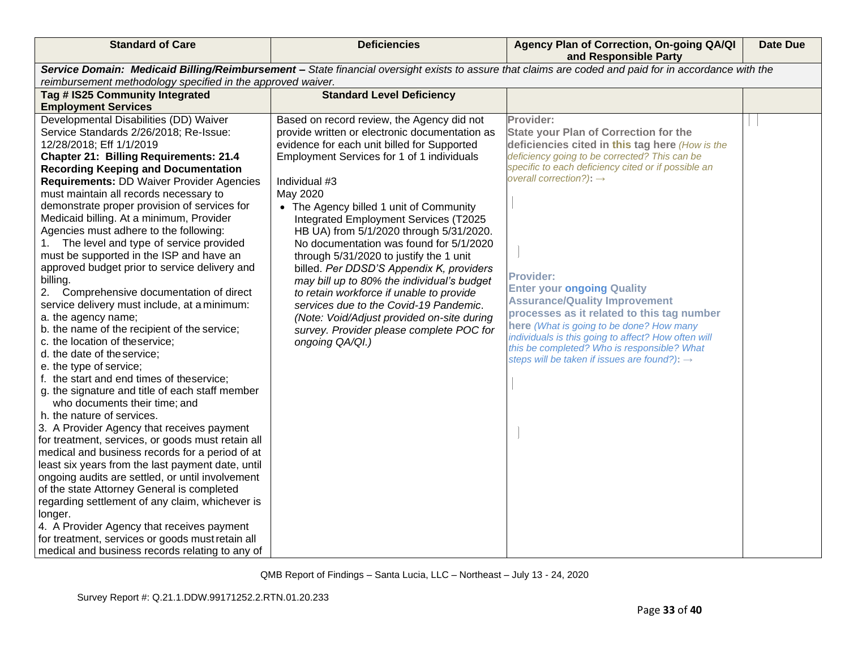| <b>Standard of Care</b>                                                                              | <b>Deficiencies</b>                                                                    | Agency Plan of Correction, On-going QA/QI<br>and Responsible Party                                                                                    | <b>Date Due</b> |
|------------------------------------------------------------------------------------------------------|----------------------------------------------------------------------------------------|-------------------------------------------------------------------------------------------------------------------------------------------------------|-----------------|
|                                                                                                      |                                                                                        | Service Domain: Medicaid Billing/Reimbursement - State financial oversight exists to assure that claims are coded and paid for in accordance with the |                 |
| reimbursement methodology specified in the approved waiver.<br>Tag # IS25 Community Integrated       | <b>Standard Level Deficiency</b>                                                       |                                                                                                                                                       |                 |
| <b>Employment Services</b>                                                                           |                                                                                        |                                                                                                                                                       |                 |
| Developmental Disabilities (DD) Waiver                                                               | Based on record review, the Agency did not                                             | Provider:                                                                                                                                             |                 |
| Service Standards 2/26/2018; Re-Issue:                                                               | provide written or electronic documentation as                                         | <b>State your Plan of Correction for the</b>                                                                                                          |                 |
| 12/28/2018; Eff 1/1/2019                                                                             | evidence for each unit billed for Supported                                            | deficiencies cited in this tag here (How is the                                                                                                       |                 |
| <b>Chapter 21: Billing Requirements: 21.4</b>                                                        | Employment Services for 1 of 1 individuals                                             | deficiency going to be corrected? This can be                                                                                                         |                 |
| <b>Recording Keeping and Documentation</b>                                                           |                                                                                        | specific to each deficiency cited or if possible an                                                                                                   |                 |
| <b>Requirements: DD Waiver Provider Agencies</b>                                                     | Individual #3                                                                          | overall correction?): $\rightarrow$                                                                                                                   |                 |
| must maintain all records necessary to                                                               | May 2020                                                                               |                                                                                                                                                       |                 |
| demonstrate proper provision of services for                                                         | • The Agency billed 1 unit of Community                                                |                                                                                                                                                       |                 |
| Medicaid billing. At a minimum, Provider                                                             | Integrated Employment Services (T2025                                                  |                                                                                                                                                       |                 |
| Agencies must adhere to the following:                                                               | HB UA) from 5/1/2020 through 5/31/2020.                                                |                                                                                                                                                       |                 |
| 1. The level and type of service provided                                                            | No documentation was found for 5/1/2020                                                |                                                                                                                                                       |                 |
| must be supported in the ISP and have an<br>approved budget prior to service delivery and            | through 5/31/2020 to justify the 1 unit                                                |                                                                                                                                                       |                 |
| billing.                                                                                             | billed. Per DDSD'S Appendix K, providers<br>may bill up to 80% the individual's budget | <b>Provider:</b>                                                                                                                                      |                 |
| Comprehensive documentation of direct<br>2.                                                          | to retain workforce if unable to provide                                               | <b>Enter your ongoing Quality</b>                                                                                                                     |                 |
| service delivery must include, at a minimum:                                                         | services due to the Covid-19 Pandemic.                                                 | <b>Assurance/Quality Improvement</b>                                                                                                                  |                 |
| a. the agency name;                                                                                  | (Note: Void/Adjust provided on-site during                                             | processes as it related to this tag number                                                                                                            |                 |
| b. the name of the recipient of the service;                                                         | survey. Provider please complete POC for                                               | here (What is going to be done? How many                                                                                                              |                 |
| c. the location of theservice;                                                                       | ongoing QA/QI.)                                                                        | individuals is this going to affect? How often will                                                                                                   |                 |
| d. the date of the service;                                                                          |                                                                                        | this be completed? Who is responsible? What<br>steps will be taken if issues are found?): $\rightarrow$                                               |                 |
| e. the type of service;                                                                              |                                                                                        |                                                                                                                                                       |                 |
| f. the start and end times of theservice;                                                            |                                                                                        |                                                                                                                                                       |                 |
| g. the signature and title of each staff member                                                      |                                                                                        |                                                                                                                                                       |                 |
| who documents their time; and                                                                        |                                                                                        |                                                                                                                                                       |                 |
| h. the nature of services.                                                                           |                                                                                        |                                                                                                                                                       |                 |
| 3. A Provider Agency that receives payment                                                           |                                                                                        |                                                                                                                                                       |                 |
| for treatment, services, or goods must retain all<br>medical and business records for a period of at |                                                                                        |                                                                                                                                                       |                 |
| least six years from the last payment date, until                                                    |                                                                                        |                                                                                                                                                       |                 |
| ongoing audits are settled, or until involvement                                                     |                                                                                        |                                                                                                                                                       |                 |
| of the state Attorney General is completed                                                           |                                                                                        |                                                                                                                                                       |                 |
| regarding settlement of any claim, whichever is                                                      |                                                                                        |                                                                                                                                                       |                 |
| longer.                                                                                              |                                                                                        |                                                                                                                                                       |                 |
| 4. A Provider Agency that receives payment                                                           |                                                                                        |                                                                                                                                                       |                 |
| for treatment, services or goods must retain all                                                     |                                                                                        |                                                                                                                                                       |                 |
| medical and business records relating to any of                                                      |                                                                                        |                                                                                                                                                       |                 |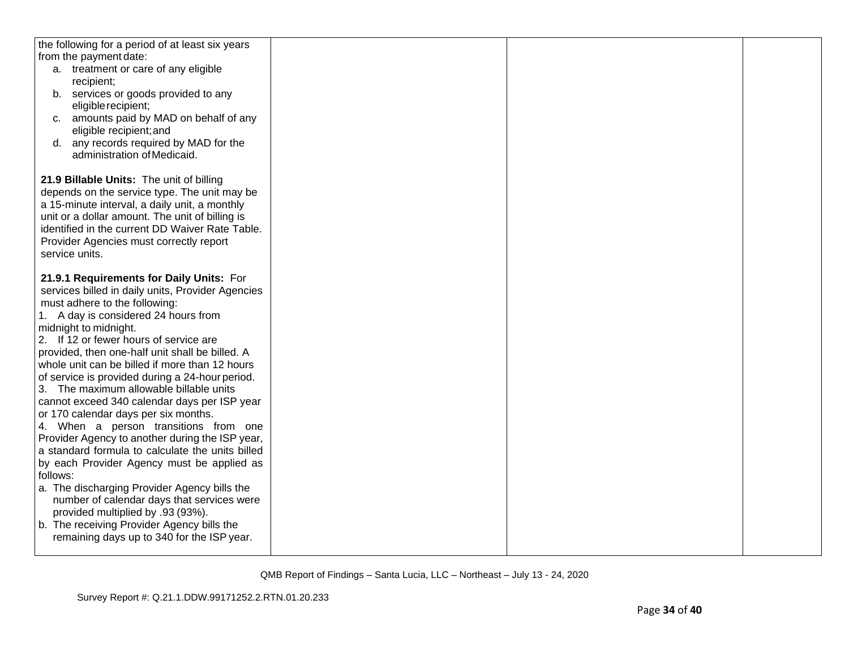| the following for a period of at least six years       |  |  |
|--------------------------------------------------------|--|--|
| from the payment date:                                 |  |  |
| a. treatment or care of any eligible                   |  |  |
| recipient;                                             |  |  |
| b. services or goods provided to any                   |  |  |
| eligible recipient;                                    |  |  |
| amounts paid by MAD on behalf of any<br>C <sub>1</sub> |  |  |
| eligible recipient; and                                |  |  |
| any records required by MAD for the<br>d.              |  |  |
| administration of Medicaid.                            |  |  |
|                                                        |  |  |
| 21.9 Billable Units: The unit of billing               |  |  |
| depends on the service type. The unit may be           |  |  |
| a 15-minute interval, a daily unit, a monthly          |  |  |
| unit or a dollar amount. The unit of billing is        |  |  |
| identified in the current DD Waiver Rate Table.        |  |  |
| Provider Agencies must correctly report                |  |  |
| service units.                                         |  |  |
|                                                        |  |  |
| 21.9.1 Requirements for Daily Units: For               |  |  |
| services billed in daily units, Provider Agencies      |  |  |
| must adhere to the following:                          |  |  |
| 1. A day is considered 24 hours from                   |  |  |
| midnight to midnight.                                  |  |  |
| 2. If 12 or fewer hours of service are                 |  |  |
| provided, then one-half unit shall be billed. A        |  |  |
| whole unit can be billed if more than 12 hours         |  |  |
| of service is provided during a 24-hour period.        |  |  |
| 3. The maximum allowable billable units                |  |  |
| cannot exceed 340 calendar days per ISP year           |  |  |
| or 170 calendar days per six months.                   |  |  |
| 4. When a person transitions from one                  |  |  |
| Provider Agency to another during the ISP year,        |  |  |
| a standard formula to calculate the units billed       |  |  |
| by each Provider Agency must be applied as             |  |  |
| follows:                                               |  |  |
| a. The discharging Provider Agency bills the           |  |  |
| number of calendar days that services were             |  |  |
| provided multiplied by .93 (93%).                      |  |  |
| b. The receiving Provider Agency bills the             |  |  |
| remaining days up to 340 for the ISP year.             |  |  |
|                                                        |  |  |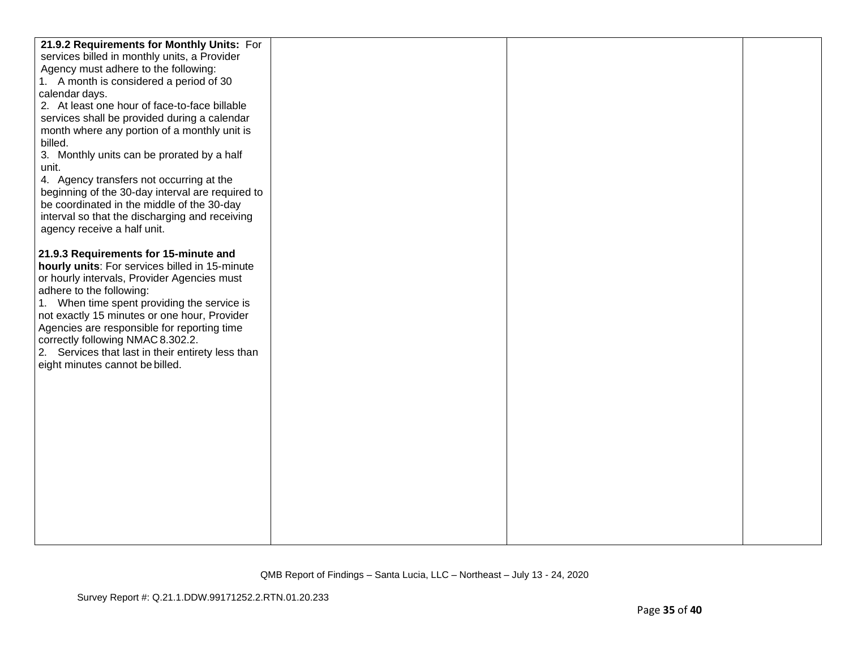| 21.9.2 Requirements for Monthly Units: For                              |  |  |
|-------------------------------------------------------------------------|--|--|
| services billed in monthly units, a Provider                            |  |  |
| Agency must adhere to the following:                                    |  |  |
| 1. A month is considered a period of 30                                 |  |  |
| calendar days.                                                          |  |  |
| 2. At least one hour of face-to-face billable                           |  |  |
| services shall be provided during a calendar                            |  |  |
| month where any portion of a monthly unit is                            |  |  |
| billed.                                                                 |  |  |
| 3. Monthly units can be prorated by a half                              |  |  |
| unit.                                                                   |  |  |
| 4. Agency transfers not occurring at the                                |  |  |
| beginning of the 30-day interval are required to                        |  |  |
| be coordinated in the middle of the 30-day                              |  |  |
| interval so that the discharging and receiving                          |  |  |
| agency receive a half unit.                                             |  |  |
|                                                                         |  |  |
| 21.9.3 Requirements for 15-minute and                                   |  |  |
| hourly units: For services billed in 15-minute                          |  |  |
| or hourly intervals, Provider Agencies must<br>adhere to the following: |  |  |
| 1. When time spent providing the service is                             |  |  |
| not exactly 15 minutes or one hour, Provider                            |  |  |
| Agencies are responsible for reporting time                             |  |  |
| correctly following NMAC 8.302.2.                                       |  |  |
| 2. Services that last in their entirety less than                       |  |  |
| eight minutes cannot be billed.                                         |  |  |
|                                                                         |  |  |
|                                                                         |  |  |
|                                                                         |  |  |
|                                                                         |  |  |
|                                                                         |  |  |
|                                                                         |  |  |
|                                                                         |  |  |
|                                                                         |  |  |
|                                                                         |  |  |
|                                                                         |  |  |
|                                                                         |  |  |
|                                                                         |  |  |
|                                                                         |  |  |
|                                                                         |  |  |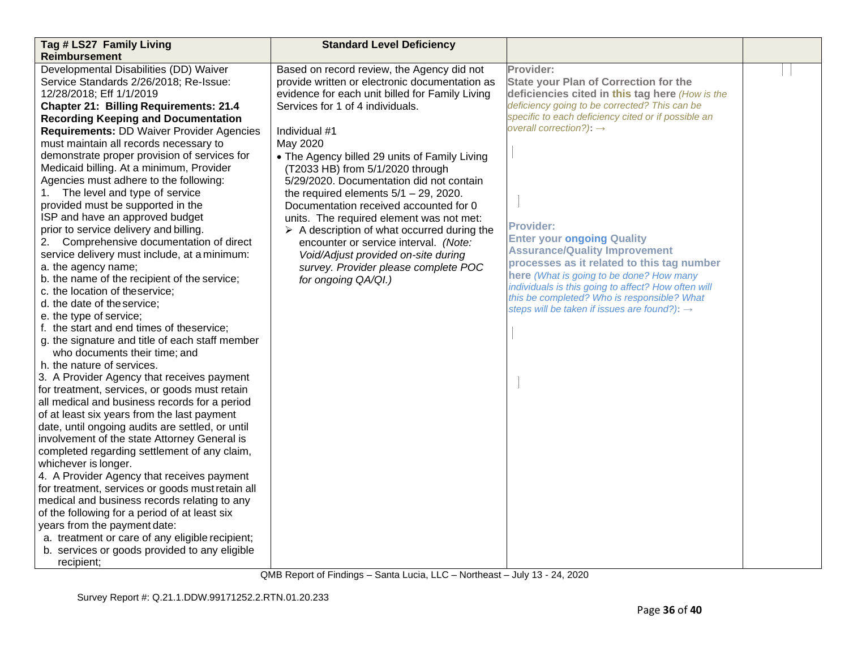| Tag # LS27 Family Living                                                                         | <b>Standard Level Deficiency</b>                           |                                                                                                 |  |
|--------------------------------------------------------------------------------------------------|------------------------------------------------------------|-------------------------------------------------------------------------------------------------|--|
| <b>Reimbursement</b>                                                                             |                                                            |                                                                                                 |  |
| Developmental Disabilities (DD) Waiver                                                           | Based on record review, the Agency did not                 | Provider:                                                                                       |  |
| Service Standards 2/26/2018; Re-Issue:                                                           | provide written or electronic documentation as             | <b>State your Plan of Correction for the</b>                                                    |  |
| 12/28/2018; Eff 1/1/2019                                                                         | evidence for each unit billed for Family Living            | deficiencies cited in this tag here (How is the                                                 |  |
| <b>Chapter 21: Billing Requirements: 21.4</b>                                                    | Services for 1 of 4 individuals.                           | deficiency going to be corrected? This can be                                                   |  |
| <b>Recording Keeping and Documentation</b>                                                       |                                                            | specific to each deficiency cited or if possible an                                             |  |
| <b>Requirements: DD Waiver Provider Agencies</b>                                                 | Individual #1                                              | overall correction?): $\rightarrow$                                                             |  |
| must maintain all records necessary to                                                           | May 2020                                                   |                                                                                                 |  |
| demonstrate proper provision of services for                                                     | • The Agency billed 29 units of Family Living              |                                                                                                 |  |
| Medicaid billing. At a minimum, Provider                                                         | (T2033 HB) from 5/1/2020 through                           |                                                                                                 |  |
| Agencies must adhere to the following:                                                           | 5/29/2020. Documentation did not contain                   |                                                                                                 |  |
| The level and type of service<br>1.                                                              | the required elements $5/1 - 29$ , 2020.                   |                                                                                                 |  |
| provided must be supported in the                                                                | Documentation received accounted for 0                     |                                                                                                 |  |
| ISP and have an approved budget                                                                  | units. The required element was not met:                   |                                                                                                 |  |
| prior to service delivery and billing.                                                           | $\triangleright$ A description of what occurred during the | <b>Provider:</b>                                                                                |  |
| 2. Comprehensive documentation of direct                                                         | encounter or service interval. (Note:                      | <b>Enter your ongoing Quality</b>                                                               |  |
| service delivery must include, at a minimum:                                                     | Void/Adjust provided on-site during                        | <b>Assurance/Quality Improvement</b>                                                            |  |
| a. the agency name;                                                                              | survey. Provider please complete POC                       | processes as it related to this tag number                                                      |  |
| b. the name of the recipient of the service;                                                     | for ongoing QA/QI.)                                        | here (What is going to be done? How many<br>individuals is this going to affect? How often will |  |
| c. the location of theservice;                                                                   |                                                            | this be completed? Who is responsible? What                                                     |  |
| d. the date of the service;                                                                      |                                                            | steps will be taken if issues are found?): →                                                    |  |
| e. the type of service;                                                                          |                                                            |                                                                                                 |  |
| f. the start and end times of theservice;                                                        |                                                            |                                                                                                 |  |
| g. the signature and title of each staff member                                                  |                                                            |                                                                                                 |  |
| who documents their time; and                                                                    |                                                            |                                                                                                 |  |
| h, the nature of services.                                                                       |                                                            |                                                                                                 |  |
| 3. A Provider Agency that receives payment                                                       |                                                            |                                                                                                 |  |
| for treatment, services, or goods must retain                                                    |                                                            |                                                                                                 |  |
| all medical and business records for a period                                                    |                                                            |                                                                                                 |  |
| of at least six years from the last payment                                                      |                                                            |                                                                                                 |  |
| date, until ongoing audits are settled, or until<br>involvement of the state Attorney General is |                                                            |                                                                                                 |  |
|                                                                                                  |                                                            |                                                                                                 |  |
| completed regarding settlement of any claim,<br>whichever is longer.                             |                                                            |                                                                                                 |  |
| 4. A Provider Agency that receives payment                                                       |                                                            |                                                                                                 |  |
| for treatment, services or goods must retain all                                                 |                                                            |                                                                                                 |  |
| medical and business records relating to any                                                     |                                                            |                                                                                                 |  |
| of the following for a period of at least six                                                    |                                                            |                                                                                                 |  |
| years from the payment date:                                                                     |                                                            |                                                                                                 |  |
| a. treatment or care of any eligible recipient;                                                  |                                                            |                                                                                                 |  |
| b. services or goods provided to any eligible                                                    |                                                            |                                                                                                 |  |
| recipient;                                                                                       |                                                            |                                                                                                 |  |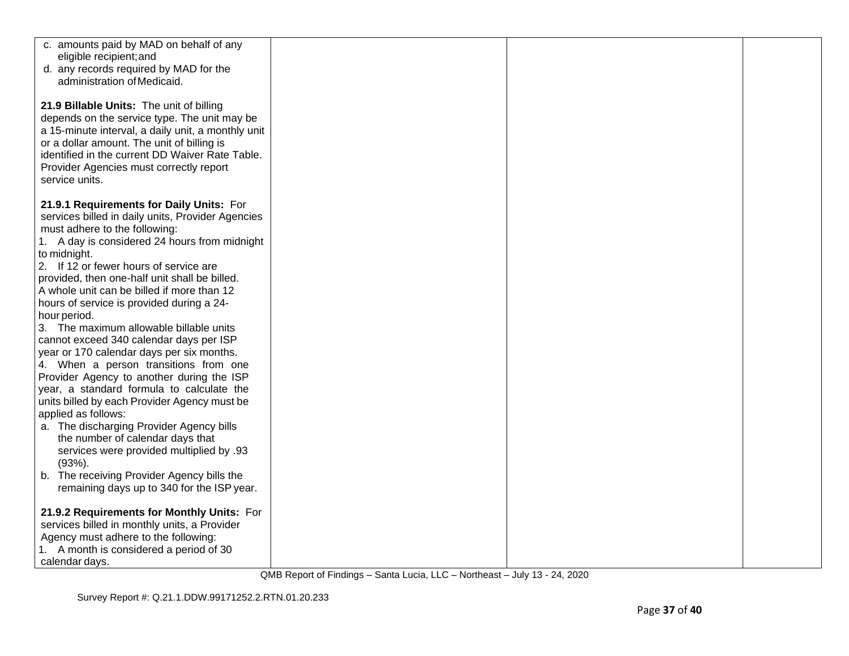| c. amounts paid by MAD on behalf of any                                                       |  |  |
|-----------------------------------------------------------------------------------------------|--|--|
| eligible recipient; and                                                                       |  |  |
| d. any records required by MAD for the<br>administration of Medicaid.                         |  |  |
|                                                                                               |  |  |
| 21.9 Billable Units: The unit of billing                                                      |  |  |
| depends on the service type. The unit may be                                                  |  |  |
| a 15-minute interval, a daily unit, a monthly unit                                            |  |  |
| or a dollar amount. The unit of billing is                                                    |  |  |
| identified in the current DD Waiver Rate Table.                                               |  |  |
| Provider Agencies must correctly report                                                       |  |  |
| service units.                                                                                |  |  |
|                                                                                               |  |  |
| 21.9.1 Requirements for Daily Units: For<br>services billed in daily units, Provider Agencies |  |  |
| must adhere to the following:                                                                 |  |  |
| 1. A day is considered 24 hours from midnight                                                 |  |  |
| to midnight.                                                                                  |  |  |
| 2. If 12 or fewer hours of service are                                                        |  |  |
| provided, then one-half unit shall be billed.                                                 |  |  |
| A whole unit can be billed if more than 12                                                    |  |  |
| hours of service is provided during a 24-                                                     |  |  |
| hour period.                                                                                  |  |  |
| 3. The maximum allowable billable units                                                       |  |  |
| cannot exceed 340 calendar days per ISP<br>year or 170 calendar days per six months.          |  |  |
| 4. When a person transitions from one                                                         |  |  |
| Provider Agency to another during the ISP                                                     |  |  |
| year, a standard formula to calculate the                                                     |  |  |
| units billed by each Provider Agency must be                                                  |  |  |
| applied as follows:                                                                           |  |  |
| a. The discharging Provider Agency bills                                                      |  |  |
| the number of calendar days that                                                              |  |  |
| services were provided multiplied by .93<br>$(93%)$ .                                         |  |  |
| b. The receiving Provider Agency bills the                                                    |  |  |
| remaining days up to 340 for the ISP year.                                                    |  |  |
|                                                                                               |  |  |
| 21.9.2 Requirements for Monthly Units: For                                                    |  |  |
| services billed in monthly units, a Provider                                                  |  |  |
| Agency must adhere to the following:                                                          |  |  |
| 1. A month is considered a period of 30                                                       |  |  |
| calendar days.                                                                                |  |  |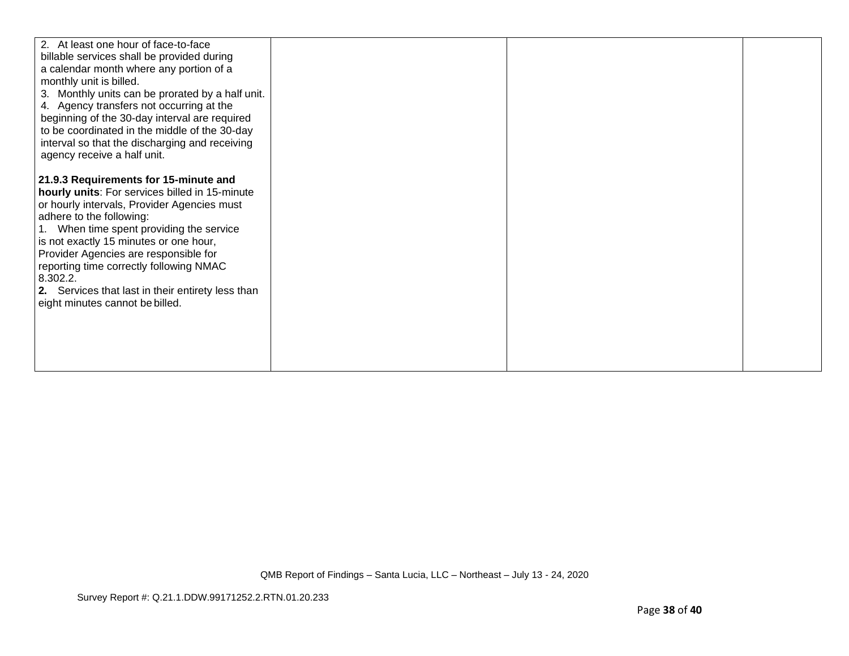| 2. At least one hour of face-to-face              |  |  |
|---------------------------------------------------|--|--|
| billable services shall be provided during        |  |  |
| a calendar month where any portion of a           |  |  |
| monthly unit is billed.                           |  |  |
| 3. Monthly units can be prorated by a half unit.  |  |  |
| 4. Agency transfers not occurring at the          |  |  |
| beginning of the 30-day interval are required     |  |  |
| to be coordinated in the middle of the 30-day     |  |  |
| interval so that the discharging and receiving    |  |  |
| agency receive a half unit.                       |  |  |
|                                                   |  |  |
| 21.9.3 Requirements for 15-minute and             |  |  |
| hourly units: For services billed in 15-minute    |  |  |
| or hourly intervals, Provider Agencies must       |  |  |
| adhere to the following:                          |  |  |
| 1. When time spent providing the service          |  |  |
| is not exactly 15 minutes or one hour,            |  |  |
| Provider Agencies are responsible for             |  |  |
| reporting time correctly following NMAC           |  |  |
| 8.302.2.                                          |  |  |
| 2. Services that last in their entirety less than |  |  |
| eight minutes cannot be billed.                   |  |  |
|                                                   |  |  |
|                                                   |  |  |
|                                                   |  |  |
|                                                   |  |  |
|                                                   |  |  |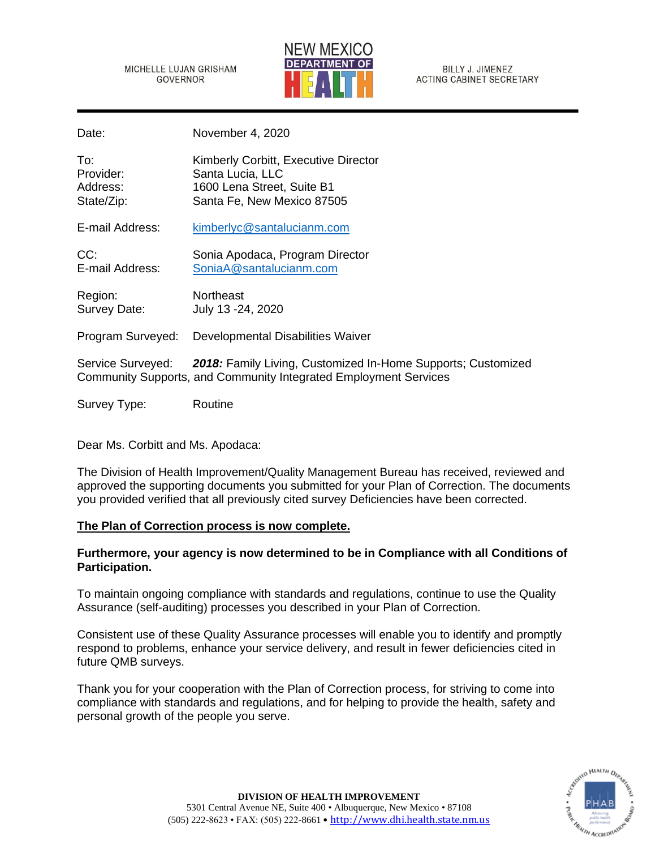MICHELLE LUJAN GRISHAM GOVERNOR



**BILLY J. JIMENEZ ACTING CABINET SECRETARY** 

Date: November 4, 2020

| To:        | Kimberly Corbitt, Executive Director |
|------------|--------------------------------------|
| Provider:  | Santa Lucia, LLC                     |
| Address:   | 1600 Lena Street, Suite B1           |
| State/Zip: | Santa Fe, New Mexico 87505           |

E-mail Address: [kimberlyc@santalucianm.com](mailto:kimberlyc@santalucianm.com)

CC: Sonia Apodaca, Program Director E-mail Address: [SoniaA@santalucianm.com](mailto:SoniaA@santalucianm.com)

Region: Northeast Survey Date: July 13 -24, 2020

Program Surveyed: Developmental Disabilities Waiver

Service Surveyed: *2018:* Family Living, Customized In-Home Supports; Customized Community Supports, and Community Integrated Employment Services

Survey Type: Routine

Dear Ms. Corbitt and Ms. Apodaca:

The Division of Health Improvement/Quality Management Bureau has received, reviewed and approved the supporting documents you submitted for your Plan of Correction. The documents you provided verified that all previously cited survey Deficiencies have been corrected.

# **The Plan of Correction process is now complete.**

# **Furthermore, your agency is now determined to be in Compliance with all Conditions of Participation.**

To maintain ongoing compliance with standards and regulations, continue to use the Quality Assurance (self-auditing) processes you described in your Plan of Correction.

Consistent use of these Quality Assurance processes will enable you to identify and promptly respond to problems, enhance your service delivery, and result in fewer deficiencies cited in future QMB surveys.

Thank you for your cooperation with the Plan of Correction process, for striving to come into compliance with standards and regulations, and for helping to provide the health, safety and personal growth of the people you serve.